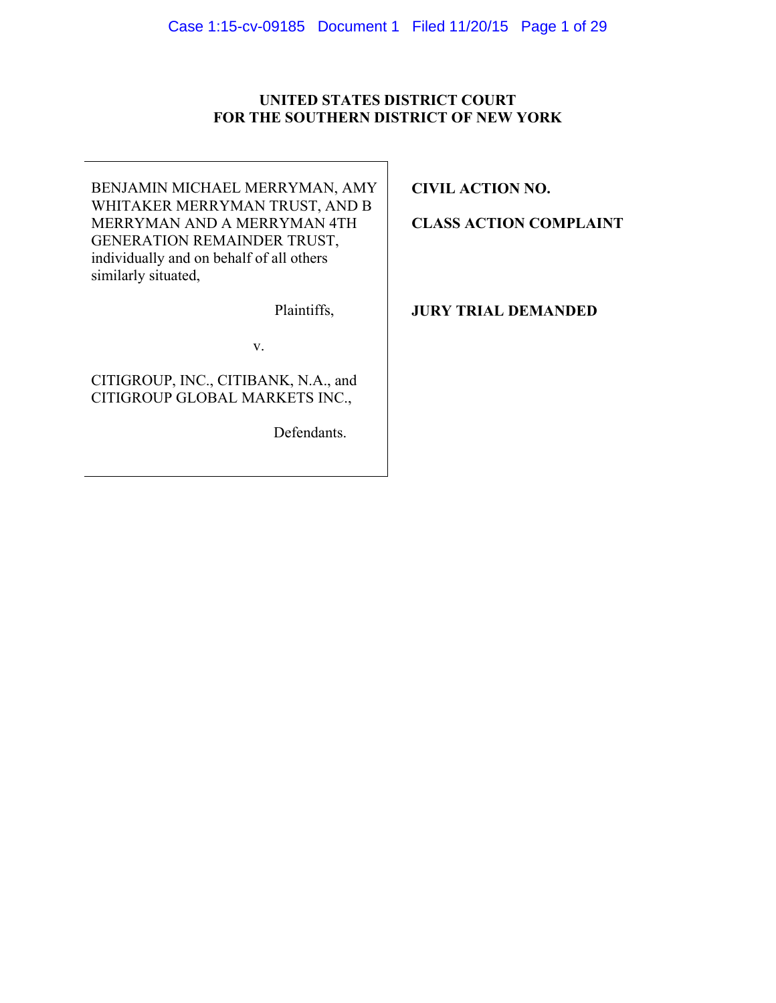## **UNITED STATES DISTRICT COURT FOR THE SOUTHERN DISTRICT OF NEW YORK**

BENJAMIN MICHAEL MERRYMAN, AMY WHITAKER MERRYMAN TRUST, AND B MERRYMAN AND A MERRYMAN 4TH GENERATION REMAINDER TRUST, individually and on behalf of all others similarly situated,

Plaintiffs,

v.

CITIGROUP, INC., CITIBANK, N.A., and CITIGROUP GLOBAL MARKETS INC.,

Defendants.

**CIVIL ACTION NO.** 

**CLASS ACTION COMPLAINT** 

**JURY TRIAL DEMANDED**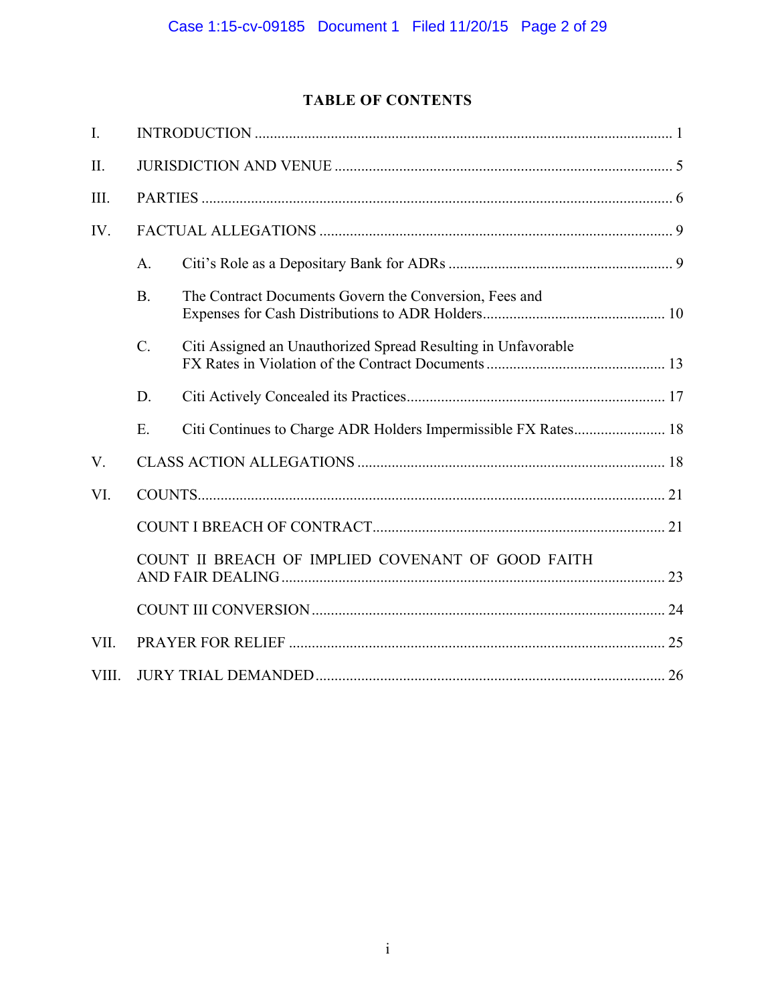# **TABLE OF CONTENTS**

| $\overline{I}$ . |                                                   |                                                               |  |
|------------------|---------------------------------------------------|---------------------------------------------------------------|--|
| II.              |                                                   |                                                               |  |
| III.             |                                                   |                                                               |  |
| IV.              |                                                   |                                                               |  |
|                  | A.                                                |                                                               |  |
|                  | B <sub>1</sub>                                    | The Contract Documents Govern the Conversion, Fees and        |  |
|                  | $\mathcal{C}$ .                                   | Citi Assigned an Unauthorized Spread Resulting in Unfavorable |  |
|                  | D.                                                |                                                               |  |
|                  | E.                                                |                                                               |  |
| V.               |                                                   |                                                               |  |
| VI.              |                                                   |                                                               |  |
|                  |                                                   |                                                               |  |
|                  | COUNT II BREACH OF IMPLIED COVENANT OF GOOD FAITH |                                                               |  |
|                  |                                                   |                                                               |  |
| VII.             |                                                   |                                                               |  |
| VIII.            |                                                   |                                                               |  |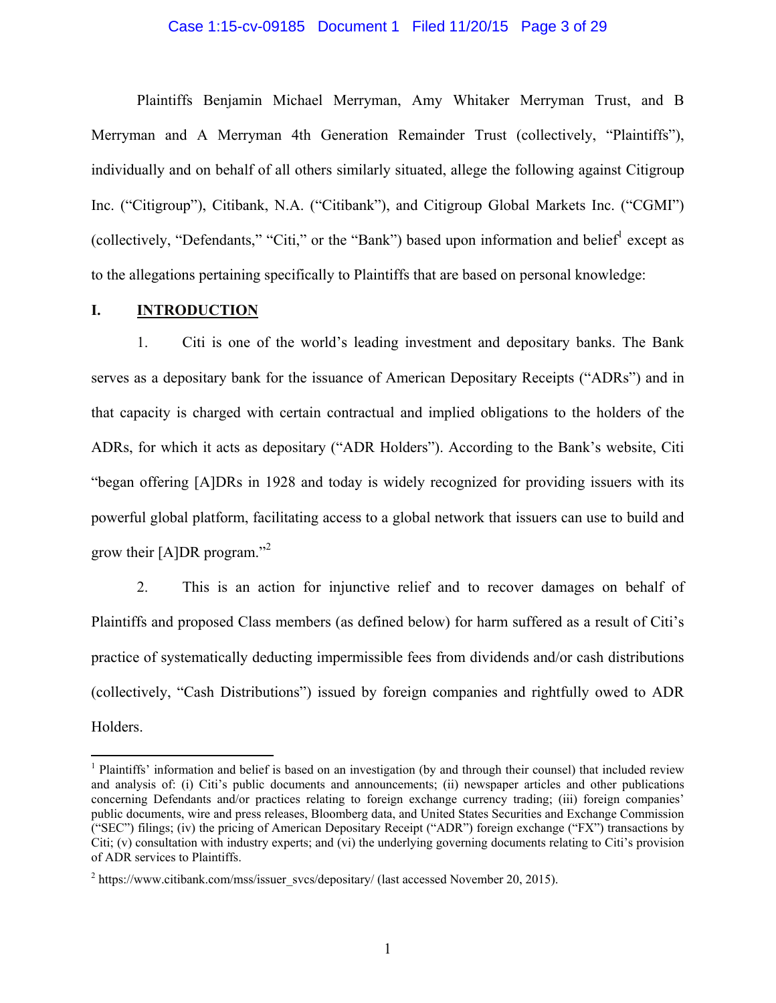#### Case 1:15-cv-09185 Document 1 Filed 11/20/15 Page 3 of 29

Plaintiffs Benjamin Michael Merryman, Amy Whitaker Merryman Trust, and B Merryman and A Merryman 4th Generation Remainder Trust (collectively, "Plaintiffs"), individually and on behalf of all others similarly situated, allege the following against Citigroup Inc. ("Citigroup"), Citibank, N.A. ("Citibank"), and Citigroup Global Markets Inc. ("CGMI") (collectively, "Defendants," "Citi," or the "Bank") based upon information and belief except as to the allegations pertaining specifically to Plaintiffs that are based on personal knowledge:

### **I. INTRODUCTION**

 $\overline{a}$ 

1. Citi is one of the world's leading investment and depositary banks. The Bank serves as a depositary bank for the issuance of American Depositary Receipts ("ADRs") and in that capacity is charged with certain contractual and implied obligations to the holders of the ADRs, for which it acts as depositary ("ADR Holders"). According to the Bank's website, Citi "began offering [A]DRs in 1928 and today is widely recognized for providing issuers with its powerful global platform, facilitating access to a global network that issuers can use to build and grow their [A]DR program."<sup>2</sup>

2. This is an action for injunctive relief and to recover damages on behalf of Plaintiffs and proposed Class members (as defined below) for harm suffered as a result of Citi's practice of systematically deducting impermissible fees from dividends and/or cash distributions (collectively, "Cash Distributions") issued by foreign companies and rightfully owed to ADR Holders.

<sup>&</sup>lt;sup>1</sup> Plaintiffs' information and belief is based on an investigation (by and through their counsel) that included review and analysis of: (i) Citi's public documents and announcements; (ii) newspaper articles and other publications concerning Defendants and/or practices relating to foreign exchange currency trading; (iii) foreign companies' public documents, wire and press releases, Bloomberg data, and United States Securities and Exchange Commission ("SEC") filings; (iv) the pricing of American Depositary Receipt ("ADR") foreign exchange ("FX") transactions by Citi; (v) consultation with industry experts; and (vi) the underlying governing documents relating to Citi's provision of ADR services to Plaintiffs.

 $2$  https://www.citibank.com/mss/issuer\_svcs/depositary/ (last accessed November 20, 2015).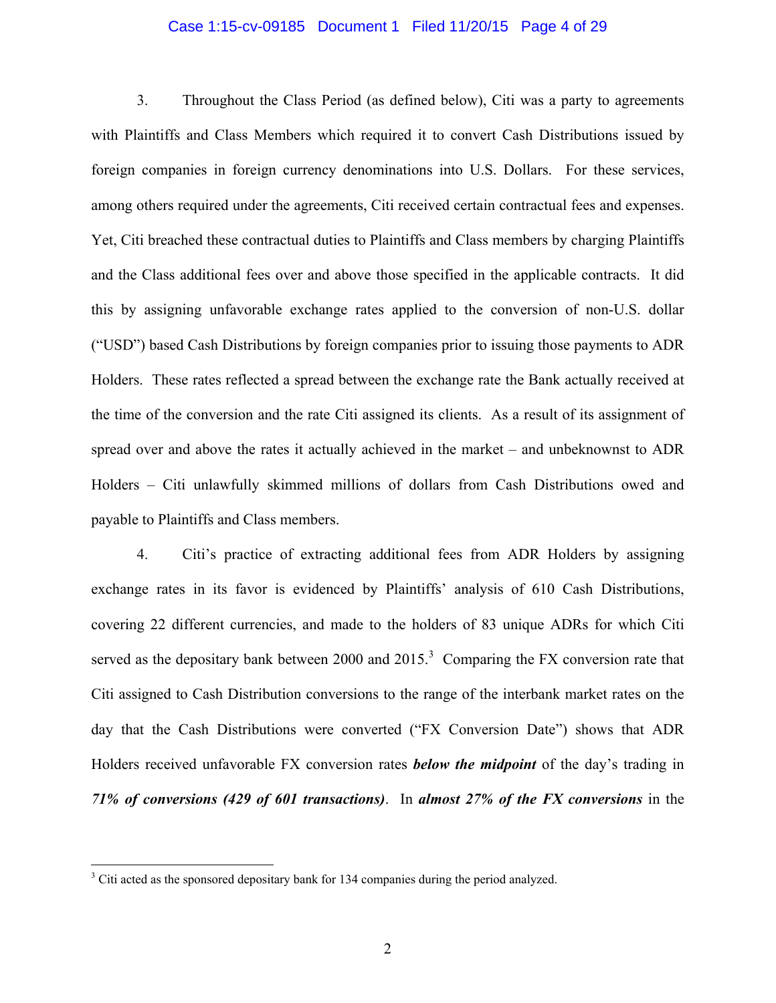#### Case 1:15-cv-09185 Document 1 Filed 11/20/15 Page 4 of 29

3. Throughout the Class Period (as defined below), Citi was a party to agreements with Plaintiffs and Class Members which required it to convert Cash Distributions issued by foreign companies in foreign currency denominations into U.S. Dollars. For these services, among others required under the agreements, Citi received certain contractual fees and expenses. Yet, Citi breached these contractual duties to Plaintiffs and Class members by charging Plaintiffs and the Class additional fees over and above those specified in the applicable contracts. It did this by assigning unfavorable exchange rates applied to the conversion of non-U.S. dollar ("USD") based Cash Distributions by foreign companies prior to issuing those payments to ADR Holders. These rates reflected a spread between the exchange rate the Bank actually received at the time of the conversion and the rate Citi assigned its clients. As a result of its assignment of spread over and above the rates it actually achieved in the market – and unbeknownst to ADR Holders – Citi unlawfully skimmed millions of dollars from Cash Distributions owed and payable to Plaintiffs and Class members.

4. Citi's practice of extracting additional fees from ADR Holders by assigning exchange rates in its favor is evidenced by Plaintiffs' analysis of 610 Cash Distributions, covering 22 different currencies, and made to the holders of 83 unique ADRs for which Citi served as the depositary bank between 2000 and  $2015.<sup>3</sup>$  Comparing the FX conversion rate that Citi assigned to Cash Distribution conversions to the range of the interbank market rates on the day that the Cash Distributions were converted ("FX Conversion Date") shows that ADR Holders received unfavorable FX conversion rates *below the midpoint* of the day's trading in *71% of conversions (429 of 601 transactions)*. In *almost 27% of the FX conversions* in the

<sup>&</sup>lt;sup>3</sup> Citi acted as the sponsored depositary bank for 134 companies during the period analyzed.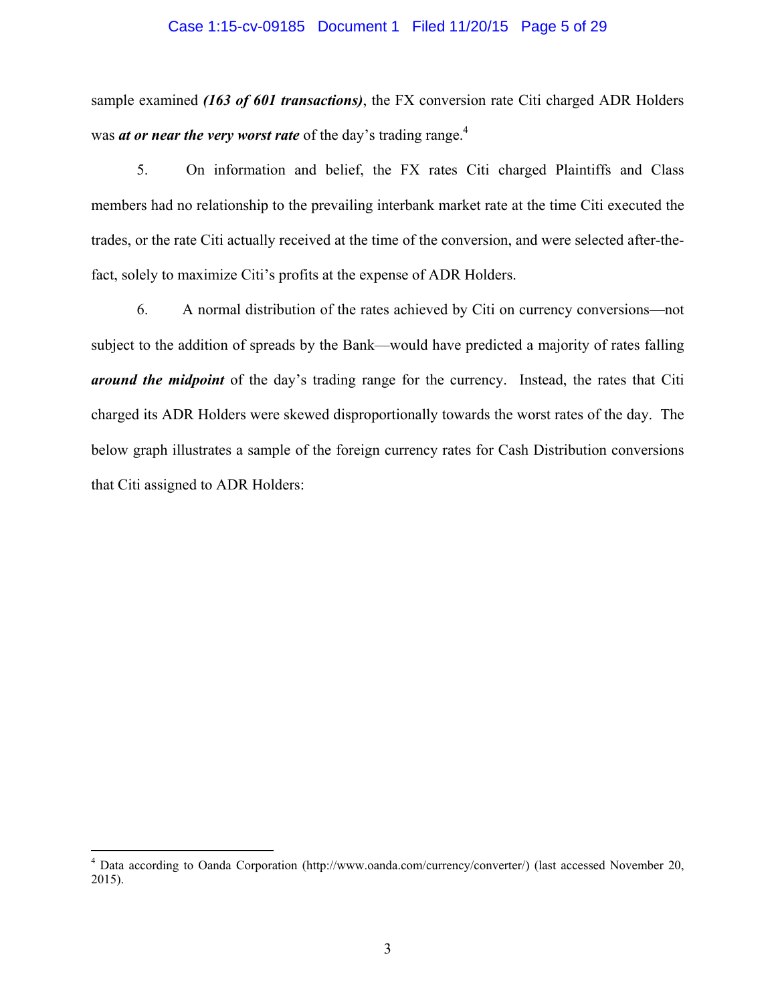#### Case 1:15-cv-09185 Document 1 Filed 11/20/15 Page 5 of 29

sample examined *(163 of 601 transactions)*, the FX conversion rate Citi charged ADR Holders was *at or near the very worst rate* of the day's trading range.<sup>4</sup>

5. On information and belief, the FX rates Citi charged Plaintiffs and Class members had no relationship to the prevailing interbank market rate at the time Citi executed the trades, or the rate Citi actually received at the time of the conversion, and were selected after-thefact, solely to maximize Citi's profits at the expense of ADR Holders.

6. A normal distribution of the rates achieved by Citi on currency conversions—not subject to the addition of spreads by the Bank—would have predicted a majority of rates falling *around the midpoint* of the day's trading range for the currency. Instead, the rates that Citi charged its ADR Holders were skewed disproportionally towards the worst rates of the day. The below graph illustrates a sample of the foreign currency rates for Cash Distribution conversions that Citi assigned to ADR Holders:

 4 Data according to Oanda Corporation (http://www.oanda.com/currency/converter/) (last accessed November 20, 2015).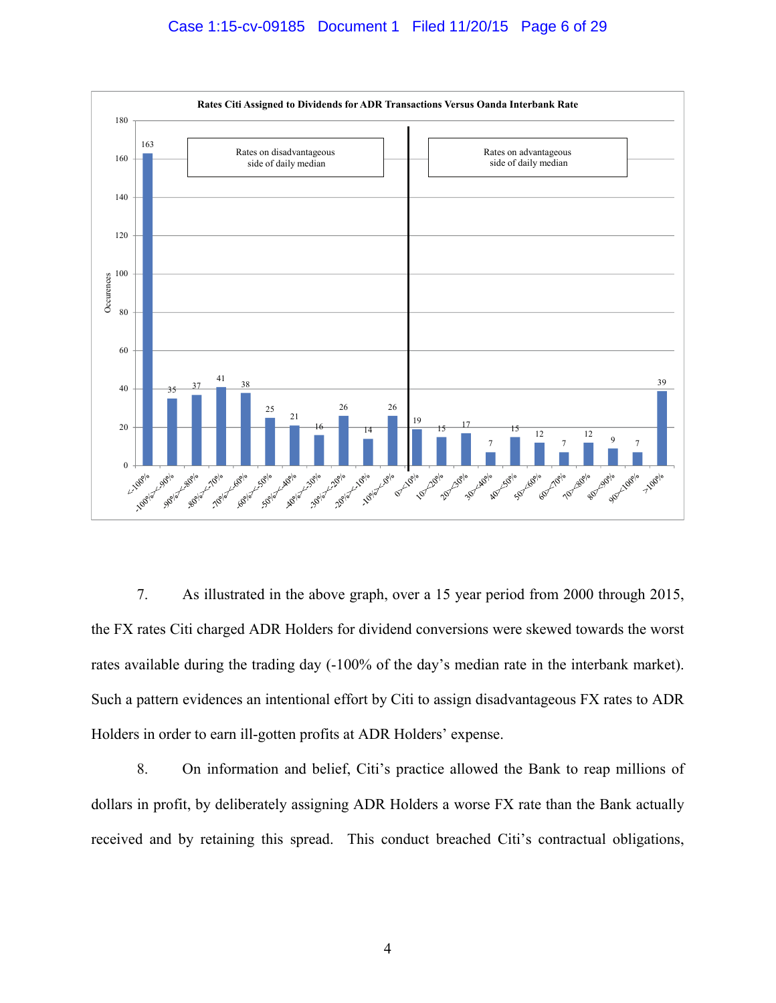

7. As illustrated in the above graph, over a 15 year period from 2000 through 2015, the FX rates Citi charged ADR Holders for dividend conversions were skewed towards the worst rates available during the trading day (-100% of the day's median rate in the interbank market). Such a pattern evidences an intentional effort by Citi to assign disadvantageous FX rates to ADR Holders in order to earn ill-gotten profits at ADR Holders' expense.

8. On information and belief, Citi's practice allowed the Bank to reap millions of dollars in profit, by deliberately assigning ADR Holders a worse FX rate than the Bank actually received and by retaining this spread. This conduct breached Citi's contractual obligations,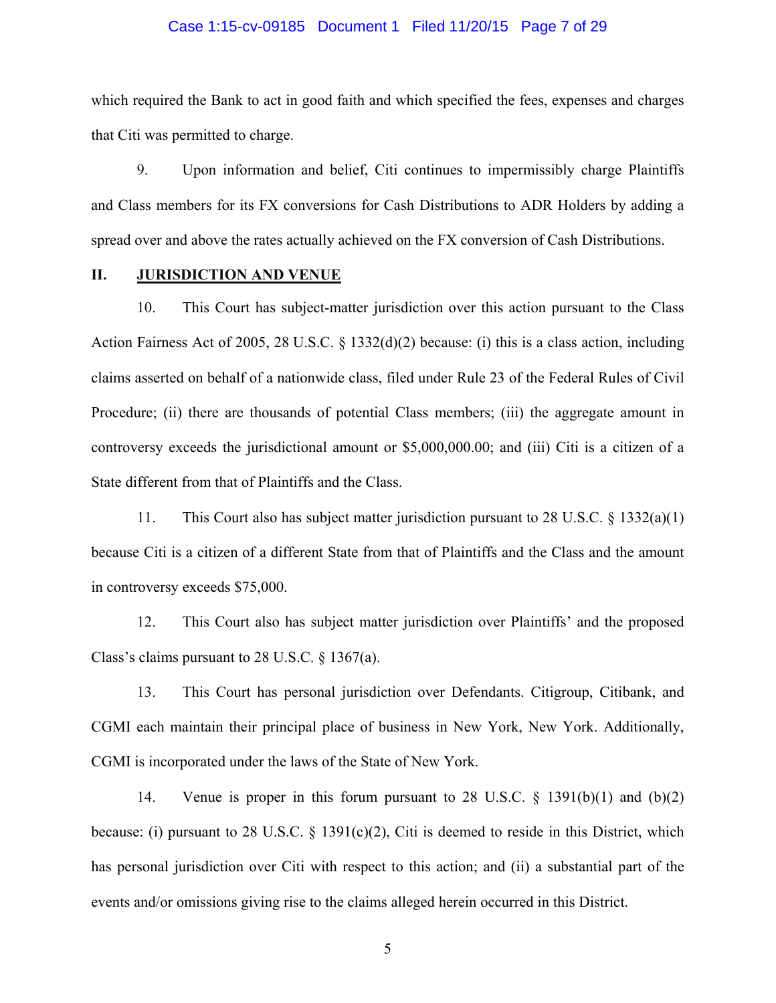#### Case 1:15-cv-09185 Document 1 Filed 11/20/15 Page 7 of 29

which required the Bank to act in good faith and which specified the fees, expenses and charges that Citi was permitted to charge.

9. Upon information and belief, Citi continues to impermissibly charge Plaintiffs and Class members for its FX conversions for Cash Distributions to ADR Holders by adding a spread over and above the rates actually achieved on the FX conversion of Cash Distributions.

### **II. JURISDICTION AND VENUE**

10. This Court has subject-matter jurisdiction over this action pursuant to the Class Action Fairness Act of 2005, 28 U.S.C. § 1332(d)(2) because: (i) this is a class action, including claims asserted on behalf of a nationwide class, filed under Rule 23 of the Federal Rules of Civil Procedure; (ii) there are thousands of potential Class members; (iii) the aggregate amount in controversy exceeds the jurisdictional amount or \$5,000,000.00; and (iii) Citi is a citizen of a State different from that of Plaintiffs and the Class.

11. This Court also has subject matter jurisdiction pursuant to 28 U.S.C. § 1332(a)(1) because Citi is a citizen of a different State from that of Plaintiffs and the Class and the amount in controversy exceeds \$75,000.

12. This Court also has subject matter jurisdiction over Plaintiffs' and the proposed Class's claims pursuant to 28 U.S.C. § 1367(a).

13. This Court has personal jurisdiction over Defendants. Citigroup, Citibank, and CGMI each maintain their principal place of business in New York, New York. Additionally, CGMI is incorporated under the laws of the State of New York.

14. Venue is proper in this forum pursuant to 28 U.S.C. § 1391(b)(1) and (b)(2) because: (i) pursuant to 28 U.S.C.  $\S$  1391(c)(2), Citi is deemed to reside in this District, which has personal jurisdiction over Citi with respect to this action; and (ii) a substantial part of the events and/or omissions giving rise to the claims alleged herein occurred in this District.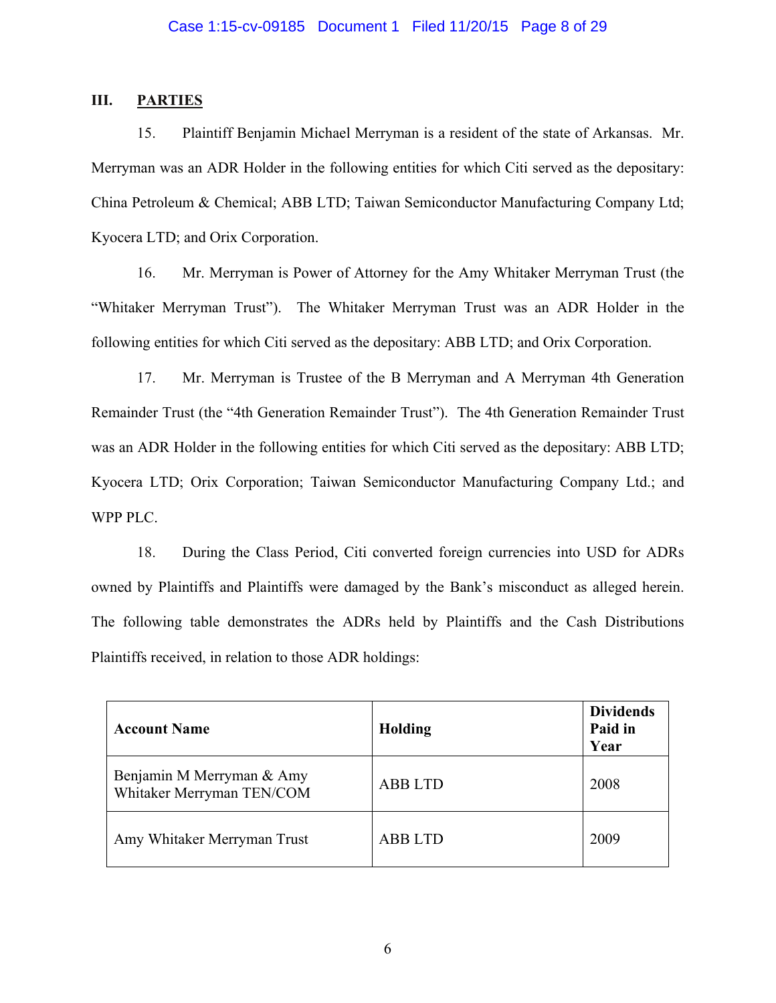## **III. PARTIES**

15. Plaintiff Benjamin Michael Merryman is a resident of the state of Arkansas. Mr. Merryman was an ADR Holder in the following entities for which Citi served as the depositary: China Petroleum & Chemical; ABB LTD; Taiwan Semiconductor Manufacturing Company Ltd; Kyocera LTD; and Orix Corporation.

16. Mr. Merryman is Power of Attorney for the Amy Whitaker Merryman Trust (the "Whitaker Merryman Trust"). The Whitaker Merryman Trust was an ADR Holder in the following entities for which Citi served as the depositary: ABB LTD; and Orix Corporation.

17. Mr. Merryman is Trustee of the B Merryman and A Merryman 4th Generation Remainder Trust (the "4th Generation Remainder Trust"). The 4th Generation Remainder Trust was an ADR Holder in the following entities for which Citi served as the depositary: ABB LTD; Kyocera LTD; Orix Corporation; Taiwan Semiconductor Manufacturing Company Ltd.; and WPP PLC.

18. During the Class Period, Citi converted foreign currencies into USD for ADRs owned by Plaintiffs and Plaintiffs were damaged by the Bank's misconduct as alleged herein. The following table demonstrates the ADRs held by Plaintiffs and the Cash Distributions Plaintiffs received, in relation to those ADR holdings:

| <b>Account Name</b>                                    | <b>Holding</b> | <b>Dividends</b><br>Paid in<br>Year |
|--------------------------------------------------------|----------------|-------------------------------------|
| Benjamin M Merryman & Amy<br>Whitaker Merryman TEN/COM | <b>ABB LTD</b> | 2008                                |
| Amy Whitaker Merryman Trust                            | <b>ABB LTD</b> | 2009                                |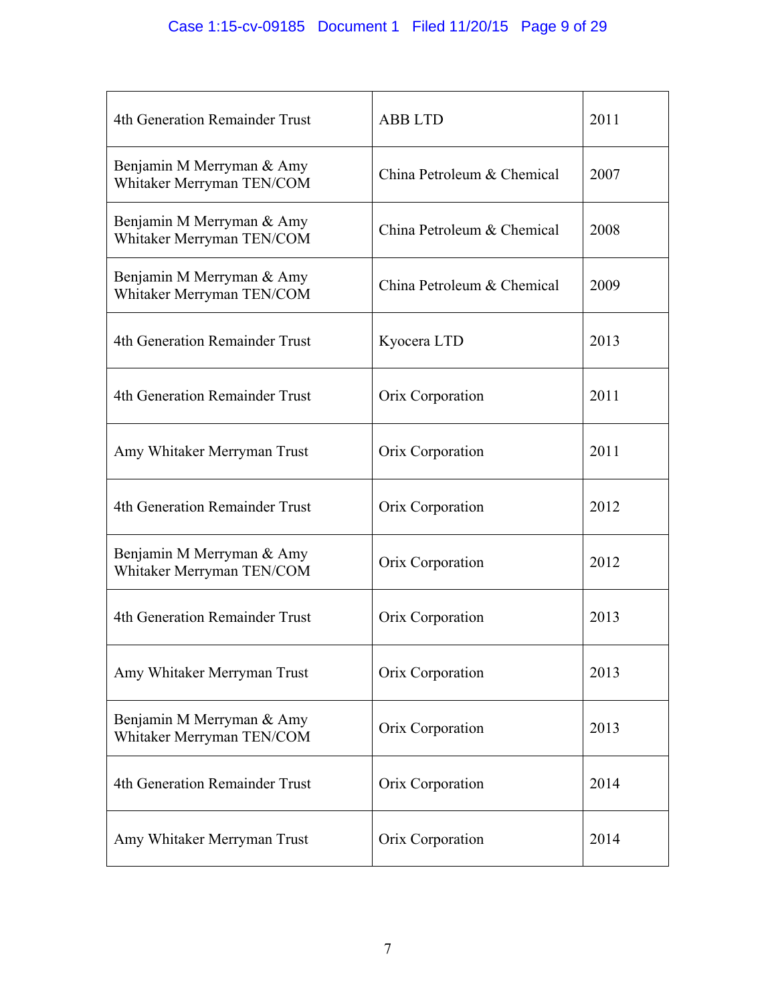| 4th Generation Remainder Trust                         | <b>ABB LTD</b>             | 2011 |
|--------------------------------------------------------|----------------------------|------|
| Benjamin M Merryman & Amy<br>Whitaker Merryman TEN/COM | China Petroleum & Chemical | 2007 |
| Benjamin M Merryman & Amy<br>Whitaker Merryman TEN/COM | China Petroleum & Chemical | 2008 |
| Benjamin M Merryman & Amy<br>Whitaker Merryman TEN/COM | China Petroleum & Chemical | 2009 |
| 4th Generation Remainder Trust                         | Kyocera LTD                | 2013 |
| 4th Generation Remainder Trust                         | Orix Corporation           | 2011 |
| Amy Whitaker Merryman Trust                            | Orix Corporation           | 2011 |
| 4th Generation Remainder Trust                         | Orix Corporation           | 2012 |
| Benjamin M Merryman & Amy<br>Whitaker Merryman TEN/COM | Orix Corporation           | 2012 |
| 4th Generation Remainder Trust                         | Orix Corporation           | 2013 |
| Amy Whitaker Merryman Trust                            | Orix Corporation           | 2013 |
| Benjamin M Merryman & Amy<br>Whitaker Merryman TEN/COM | Orix Corporation           | 2013 |
| 4th Generation Remainder Trust                         | Orix Corporation           | 2014 |
| Amy Whitaker Merryman Trust                            | Orix Corporation           | 2014 |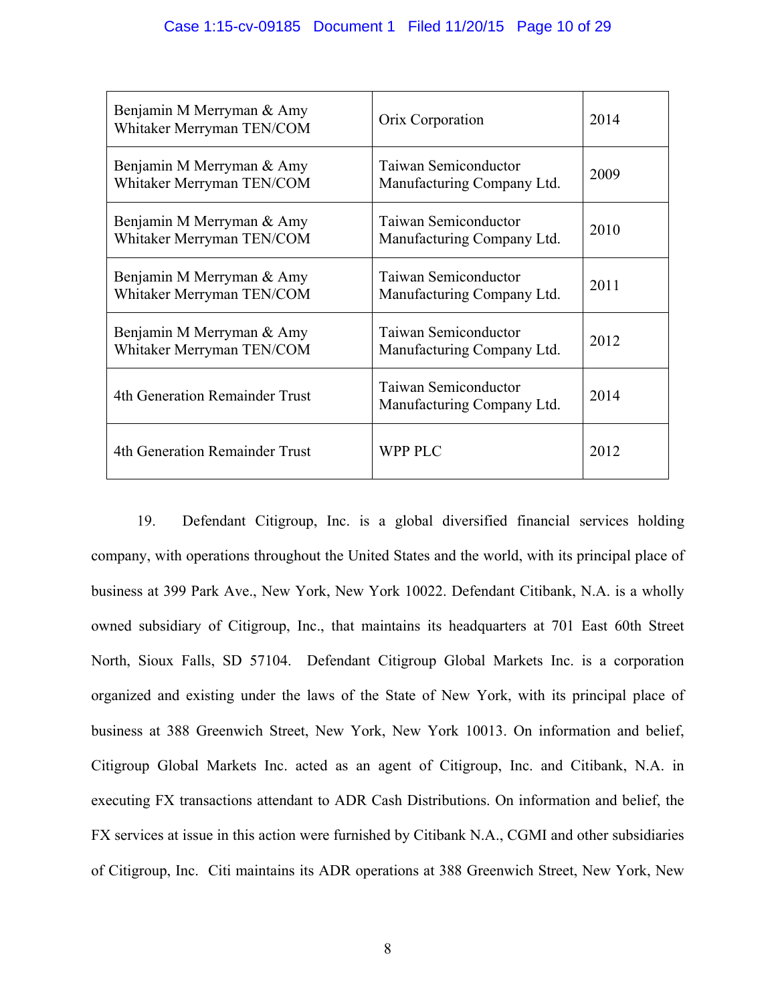| Benjamin M Merryman & Amy<br>Whitaker Merryman TEN/COM | Orix Corporation                                          | 2014 |
|--------------------------------------------------------|-----------------------------------------------------------|------|
| Benjamin M Merryman & Amy<br>Whitaker Merryman TEN/COM | <b>Taiwan Semiconductor</b><br>Manufacturing Company Ltd. | 2009 |
| Benjamin M Merryman & Amy<br>Whitaker Merryman TEN/COM | Taiwan Semiconductor<br>Manufacturing Company Ltd.        | 2010 |
| Benjamin M Merryman & Amy<br>Whitaker Merryman TEN/COM | Taiwan Semiconductor<br>Manufacturing Company Ltd.        | 2011 |
| Benjamin M Merryman & Amy<br>Whitaker Merryman TEN/COM | <b>Taiwan Semiconductor</b><br>Manufacturing Company Ltd. | 2012 |
| 4th Generation Remainder Trust                         | Taiwan Semiconductor<br>Manufacturing Company Ltd.        | 2014 |
| 4th Generation Remainder Trust                         | <b>WPP PLC</b>                                            | 2012 |

19. Defendant Citigroup, Inc. is a global diversified financial services holding company, with operations throughout the United States and the world, with its principal place of business at 399 Park Ave., New York, New York 10022. Defendant Citibank, N.A. is a wholly owned subsidiary of Citigroup, Inc., that maintains its headquarters at 701 East 60th Street North, Sioux Falls, SD 57104. Defendant Citigroup Global Markets Inc. is a corporation organized and existing under the laws of the State of New York, with its principal place of business at 388 Greenwich Street, New York, New York 10013. On information and belief, Citigroup Global Markets Inc. acted as an agent of Citigroup, Inc. and Citibank, N.A. in executing FX transactions attendant to ADR Cash Distributions. On information and belief, the FX services at issue in this action were furnished by Citibank N.A., CGMI and other subsidiaries of Citigroup, Inc. Citi maintains its ADR operations at 388 Greenwich Street, New York, New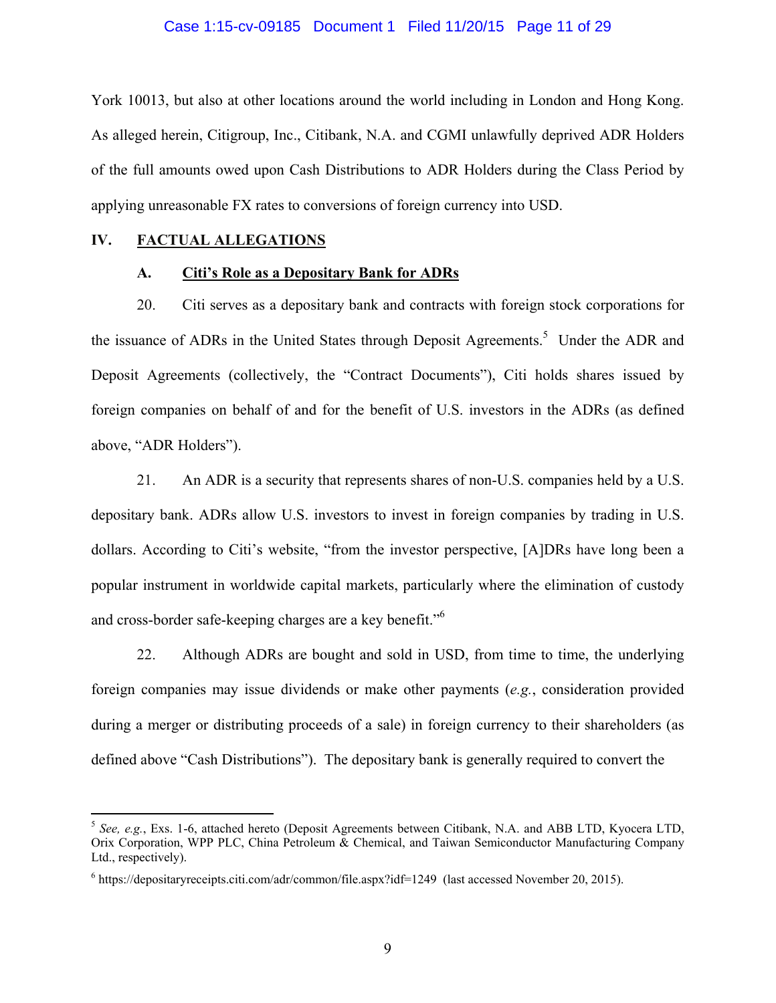#### Case 1:15-cv-09185 Document 1 Filed 11/20/15 Page 11 of 29

York 10013, but also at other locations around the world including in London and Hong Kong. As alleged herein, Citigroup, Inc., Citibank, N.A. and CGMI unlawfully deprived ADR Holders of the full amounts owed upon Cash Distributions to ADR Holders during the Class Period by applying unreasonable FX rates to conversions of foreign currency into USD.

### **IV. FACTUAL ALLEGATIONS**

1

### **A. Citi's Role as a Depositary Bank for ADRs**

20. Citi serves as a depositary bank and contracts with foreign stock corporations for the issuance of ADRs in the United States through Deposit Agreements.<sup>5</sup> Under the ADR and Deposit Agreements (collectively, the "Contract Documents"), Citi holds shares issued by foreign companies on behalf of and for the benefit of U.S. investors in the ADRs (as defined above, "ADR Holders").

21. An ADR is a security that represents shares of non-U.S. companies held by a U.S. depositary bank. ADRs allow U.S. investors to invest in foreign companies by trading in U.S. dollars. According to Citi's website, "from the investor perspective, [A]DRs have long been a popular instrument in worldwide capital markets, particularly where the elimination of custody and cross-border safe-keeping charges are a key benefit."<sup>6</sup>

22. Although ADRs are bought and sold in USD, from time to time, the underlying foreign companies may issue dividends or make other payments (*e.g.*, consideration provided during a merger or distributing proceeds of a sale) in foreign currency to their shareholders (as defined above "Cash Distributions"). The depositary bank is generally required to convert the

<sup>5</sup> *See, e.g.*, Exs. 1-6, attached hereto (Deposit Agreements between Citibank, N.A. and ABB LTD, Kyocera LTD, Orix Corporation, WPP PLC, China Petroleum & Chemical, and Taiwan Semiconductor Manufacturing Company Ltd., respectively).

<sup>&</sup>lt;sup>6</sup> https://depositaryreceipts.citi.com/adr/common/file.aspx?idf=1249 (last accessed November 20, 2015).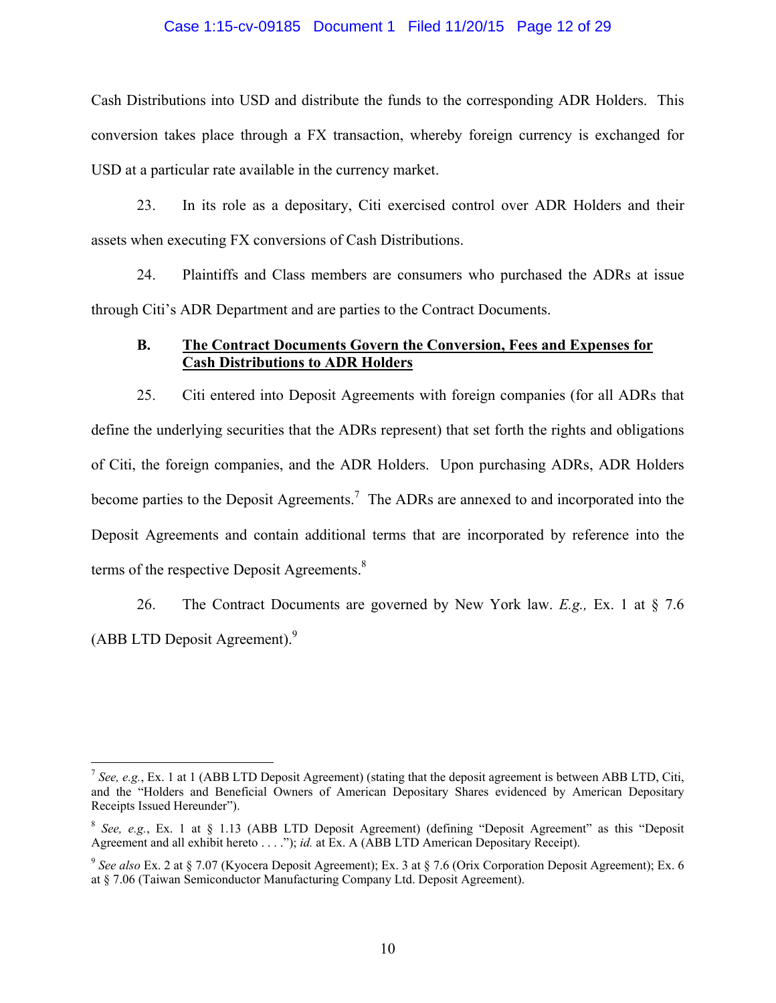#### Case 1:15-cv-09185 Document 1 Filed 11/20/15 Page 12 of 29

Cash Distributions into USD and distribute the funds to the corresponding ADR Holders. This conversion takes place through a FX transaction, whereby foreign currency is exchanged for USD at a particular rate available in the currency market.

23. In its role as a depositary, Citi exercised control over ADR Holders and their assets when executing FX conversions of Cash Distributions.

24. Plaintiffs and Class members are consumers who purchased the ADRs at issue through Citi's ADR Department and are parties to the Contract Documents.

## **B. The Contract Documents Govern the Conversion, Fees and Expenses for Cash Distributions to ADR Holders**

25. Citi entered into Deposit Agreements with foreign companies (for all ADRs that define the underlying securities that the ADRs represent) that set forth the rights and obligations of Citi, the foreign companies, and the ADR Holders. Upon purchasing ADRs, ADR Holders become parties to the Deposit Agreements.<sup>7</sup> The ADRs are annexed to and incorporated into the Deposit Agreements and contain additional terms that are incorporated by reference into the terms of the respective Deposit Agreements. $8$ 

26. The Contract Documents are governed by New York law. *E.g.,* Ex. 1 at § 7.6 (ABB LTD Deposit Agreement).<sup>9</sup>

<sup>&</sup>lt;sup>7</sup> See, e.g., Ex. 1 at 1 (ABB LTD Deposit Agreement) (stating that the deposit agreement is between ABB LTD, Citi, and the "Holders and Beneficial Owners of American Depositary Shares evidenced by American Depositary Receipts Issued Hereunder").

<sup>8</sup> *See, e.g.*, Ex. 1 at § 1.13 (ABB LTD Deposit Agreement) (defining "Deposit Agreement" as this "Deposit Agreement and all exhibit hereto . . . ."); *id.* at Ex. A (ABB LTD American Depositary Receipt).

<sup>9</sup> *See also* Ex. 2 at § 7.07 (Kyocera Deposit Agreement); Ex. 3 at § 7.6 (Orix Corporation Deposit Agreement); Ex. 6 at § 7.06 (Taiwan Semiconductor Manufacturing Company Ltd. Deposit Agreement).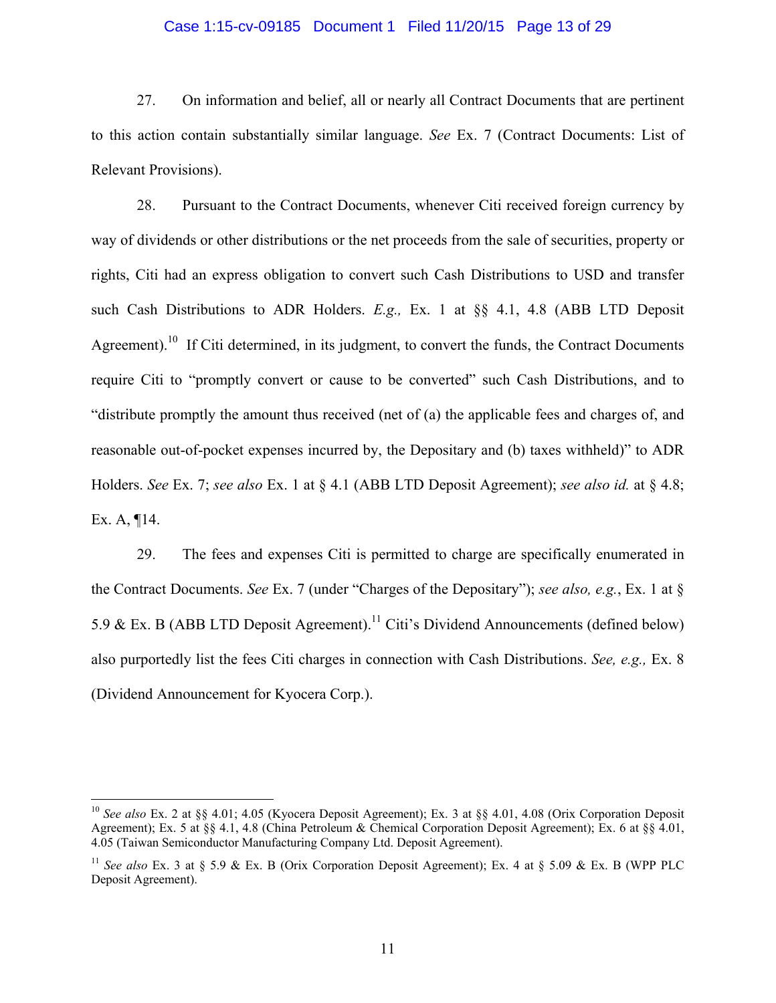#### Case 1:15-cv-09185 Document 1 Filed 11/20/15 Page 13 of 29

27. On information and belief, all or nearly all Contract Documents that are pertinent to this action contain substantially similar language. *See* Ex. 7 (Contract Documents: List of Relevant Provisions).

28. Pursuant to the Contract Documents, whenever Citi received foreign currency by way of dividends or other distributions or the net proceeds from the sale of securities, property or rights, Citi had an express obligation to convert such Cash Distributions to USD and transfer such Cash Distributions to ADR Holders. *E.g.,* Ex. 1 at §§ 4.1, 4.8 (ABB LTD Deposit Agreement).<sup>10</sup> If Citi determined, in its judgment, to convert the funds, the Contract Documents require Citi to "promptly convert or cause to be converted" such Cash Distributions, and to "distribute promptly the amount thus received (net of (a) the applicable fees and charges of, and reasonable out-of-pocket expenses incurred by, the Depositary and (b) taxes withheld)" to ADR Holders. *See* Ex. 7; *see also* Ex. 1 at § 4.1 (ABB LTD Deposit Agreement); *see also id.* at § 4.8; Ex. A, ¶14.

29. The fees and expenses Citi is permitted to charge are specifically enumerated in the Contract Documents. *See* Ex. 7 (under "Charges of the Depositary"); *see also, e.g.*, Ex. 1 at § 5.9 & Ex. B (ABB LTD Deposit Agreement).<sup>11</sup> Citi's Dividend Announcements (defined below) also purportedly list the fees Citi charges in connection with Cash Distributions. *See, e.g.,* Ex. 8 (Dividend Announcement for Kyocera Corp.).

<sup>10</sup> *See also* Ex. 2 at §§ 4.01; 4.05 (Kyocera Deposit Agreement); Ex. 3 at §§ 4.01, 4.08 (Orix Corporation Deposit Agreement); Ex. 5 at §§ 4.1, 4.8 (China Petroleum & Chemical Corporation Deposit Agreement); Ex. 6 at §§ 4.01, 4.05 (Taiwan Semiconductor Manufacturing Company Ltd. Deposit Agreement).

<sup>&</sup>lt;sup>11</sup> *See also* Ex. 3 at § 5.9 & Ex. B (Orix Corporation Deposit Agreement); Ex. 4 at § 5.09 & Ex. B (WPP PLC Deposit Agreement).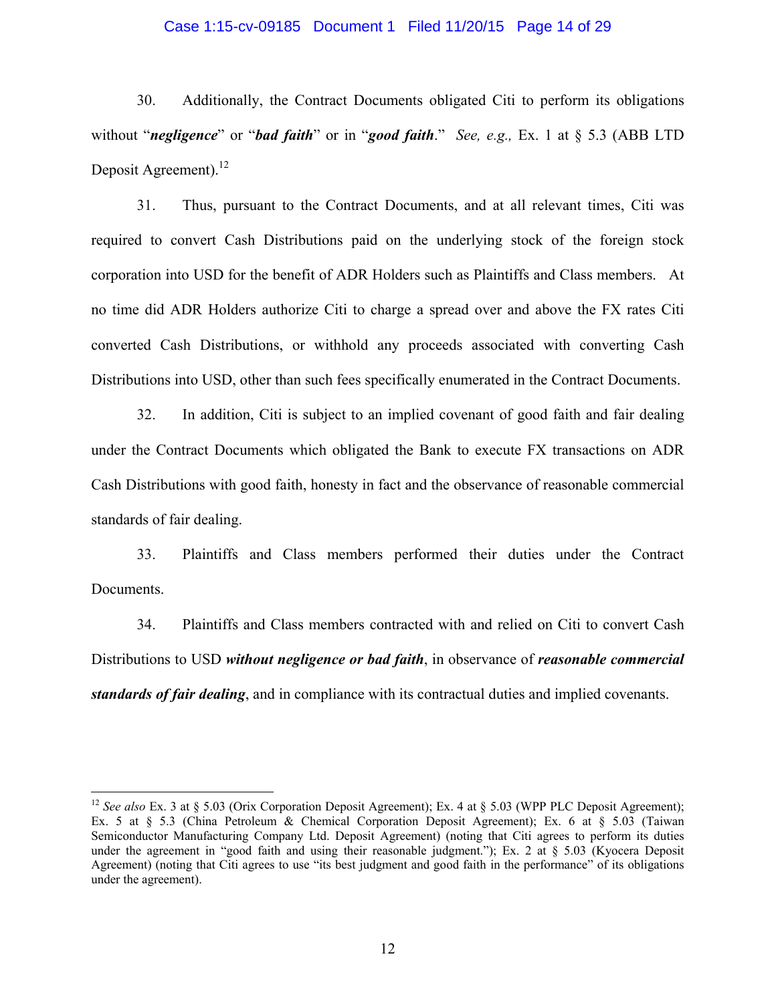#### Case 1:15-cv-09185 Document 1 Filed 11/20/15 Page 14 of 29

30. Additionally, the Contract Documents obligated Citi to perform its obligations without "*negligence*" or "*bad faith*" or in "*good faith*." *See, e.g.,* Ex. 1 at § 5.3 (ABB LTD Deposit Agreement).<sup>12</sup>

31. Thus, pursuant to the Contract Documents, and at all relevant times, Citi was required to convert Cash Distributions paid on the underlying stock of the foreign stock corporation into USD for the benefit of ADR Holders such as Plaintiffs and Class members. At no time did ADR Holders authorize Citi to charge a spread over and above the FX rates Citi converted Cash Distributions, or withhold any proceeds associated with converting Cash Distributions into USD, other than such fees specifically enumerated in the Contract Documents.

32. In addition, Citi is subject to an implied covenant of good faith and fair dealing under the Contract Documents which obligated the Bank to execute FX transactions on ADR Cash Distributions with good faith, honesty in fact and the observance of reasonable commercial standards of fair dealing.

33. Plaintiffs and Class members performed their duties under the Contract Documents.

34. Plaintiffs and Class members contracted with and relied on Citi to convert Cash Distributions to USD *without negligence or bad faith*, in observance of *reasonable commercial standards of fair dealing*, and in compliance with its contractual duties and implied covenants.

<sup>&</sup>lt;sup>12</sup> *See also* Ex. 3 at § 5.03 (Orix Corporation Deposit Agreement); Ex. 4 at § 5.03 (WPP PLC Deposit Agreement); Ex. 5 at § 5.3 (China Petroleum & Chemical Corporation Deposit Agreement); Ex. 6 at § 5.03 (Taiwan Semiconductor Manufacturing Company Ltd. Deposit Agreement) (noting that Citi agrees to perform its duties under the agreement in "good faith and using their reasonable judgment."); Ex. 2 at § 5.03 (Kyocera Deposit Agreement) (noting that Citi agrees to use "its best judgment and good faith in the performance" of its obligations under the agreement).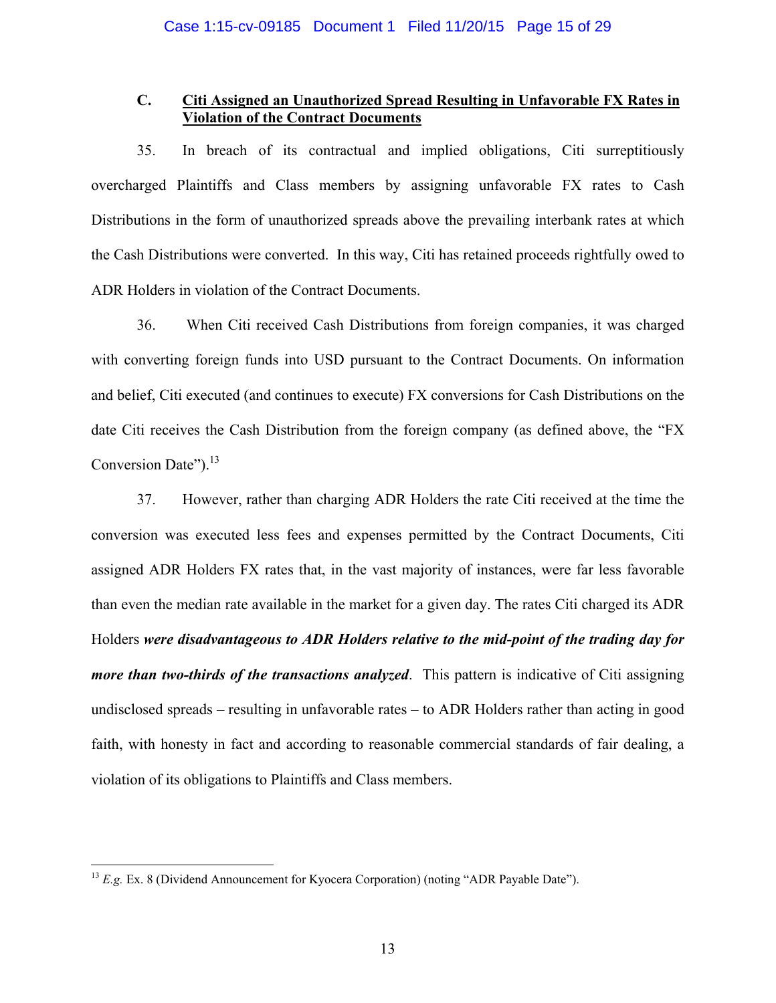## **C. Citi Assigned an Unauthorized Spread Resulting in Unfavorable FX Rates in Violation of the Contract Documents**

35. In breach of its contractual and implied obligations, Citi surreptitiously overcharged Plaintiffs and Class members by assigning unfavorable FX rates to Cash Distributions in the form of unauthorized spreads above the prevailing interbank rates at which the Cash Distributions were converted. In this way, Citi has retained proceeds rightfully owed to ADR Holders in violation of the Contract Documents.

36. When Citi received Cash Distributions from foreign companies, it was charged with converting foreign funds into USD pursuant to the Contract Documents. On information and belief, Citi executed (and continues to execute) FX conversions for Cash Distributions on the date Citi receives the Cash Distribution from the foreign company (as defined above, the "FX Conversion Date").<sup>13</sup>

37. However, rather than charging ADR Holders the rate Citi received at the time the conversion was executed less fees and expenses permitted by the Contract Documents, Citi assigned ADR Holders FX rates that, in the vast majority of instances, were far less favorable than even the median rate available in the market for a given day. The rates Citi charged its ADR Holders *were disadvantageous to ADR Holders relative to the mid-point of the trading day for more than two-thirds of the transactions analyzed*. This pattern is indicative of Citi assigning undisclosed spreads – resulting in unfavorable rates – to ADR Holders rather than acting in good faith, with honesty in fact and according to reasonable commercial standards of fair dealing, a violation of its obligations to Plaintiffs and Class members.

<sup>&</sup>lt;sup>13</sup> *E.g.* Ex. 8 (Dividend Announcement for Kyocera Corporation) (noting "ADR Payable Date").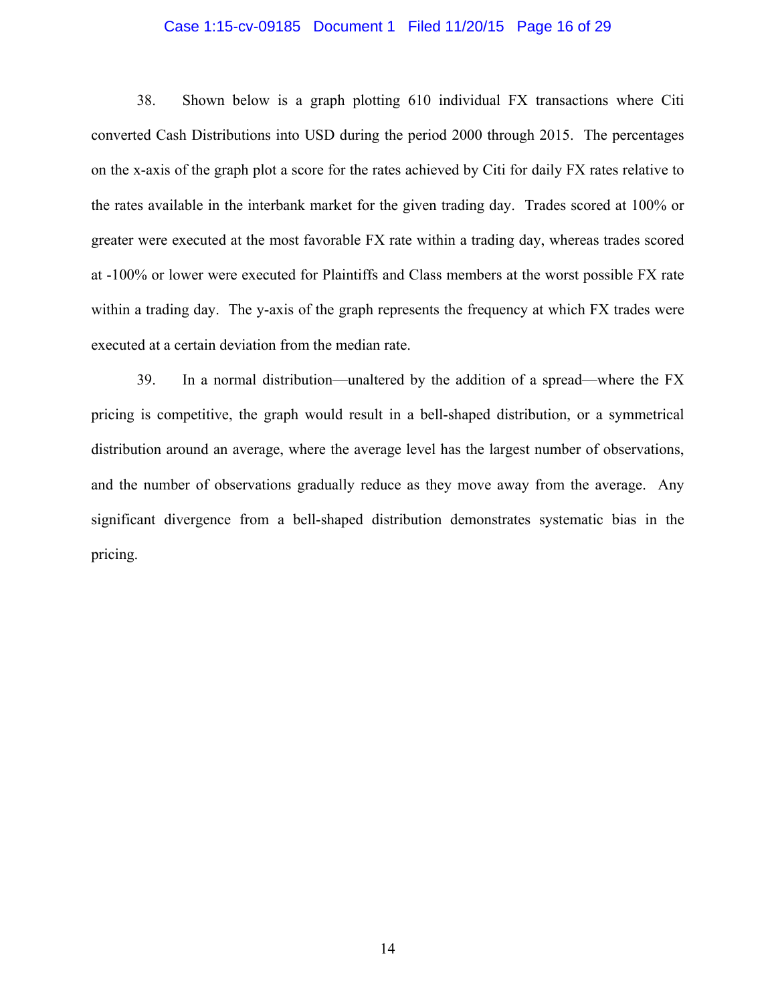#### Case 1:15-cv-09185 Document 1 Filed 11/20/15 Page 16 of 29

38. Shown below is a graph plotting 610 individual FX transactions where Citi converted Cash Distributions into USD during the period 2000 through 2015. The percentages on the x-axis of the graph plot a score for the rates achieved by Citi for daily FX rates relative to the rates available in the interbank market for the given trading day. Trades scored at 100% or greater were executed at the most favorable FX rate within a trading day, whereas trades scored at -100% or lower were executed for Plaintiffs and Class members at the worst possible FX rate within a trading day. The y-axis of the graph represents the frequency at which FX trades were executed at a certain deviation from the median rate.

39. In a normal distribution—unaltered by the addition of a spread—where the FX pricing is competitive, the graph would result in a bell-shaped distribution, or a symmetrical distribution around an average, where the average level has the largest number of observations, and the number of observations gradually reduce as they move away from the average. Any significant divergence from a bell-shaped distribution demonstrates systematic bias in the pricing.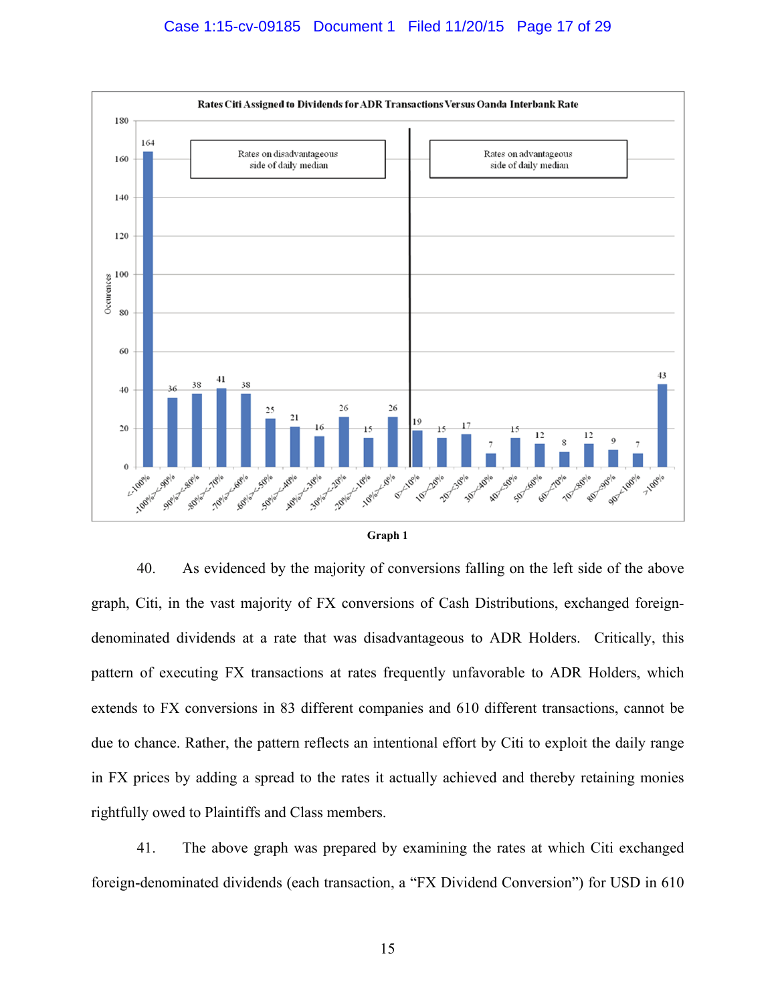



40. As evidenced by the majority of conversions falling on the left side of the above graph, Citi, in the vast majority of FX conversions of Cash Distributions, exchanged foreigndenominated dividends at a rate that was disadvantageous to ADR Holders. Critically, this pattern of executing FX transactions at rates frequently unfavorable to ADR Holders, which extends to FX conversions in 83 different companies and 610 different transactions, cannot be due to chance. Rather, the pattern reflects an intentional effort by Citi to exploit the daily range in FX prices by adding a spread to the rates it actually achieved and thereby retaining monies rightfully owed to Plaintiffs and Class members.

41. The above graph was prepared by examining the rates at which Citi exchanged foreign-denominated dividends (each transaction, a "FX Dividend Conversion") for USD in 610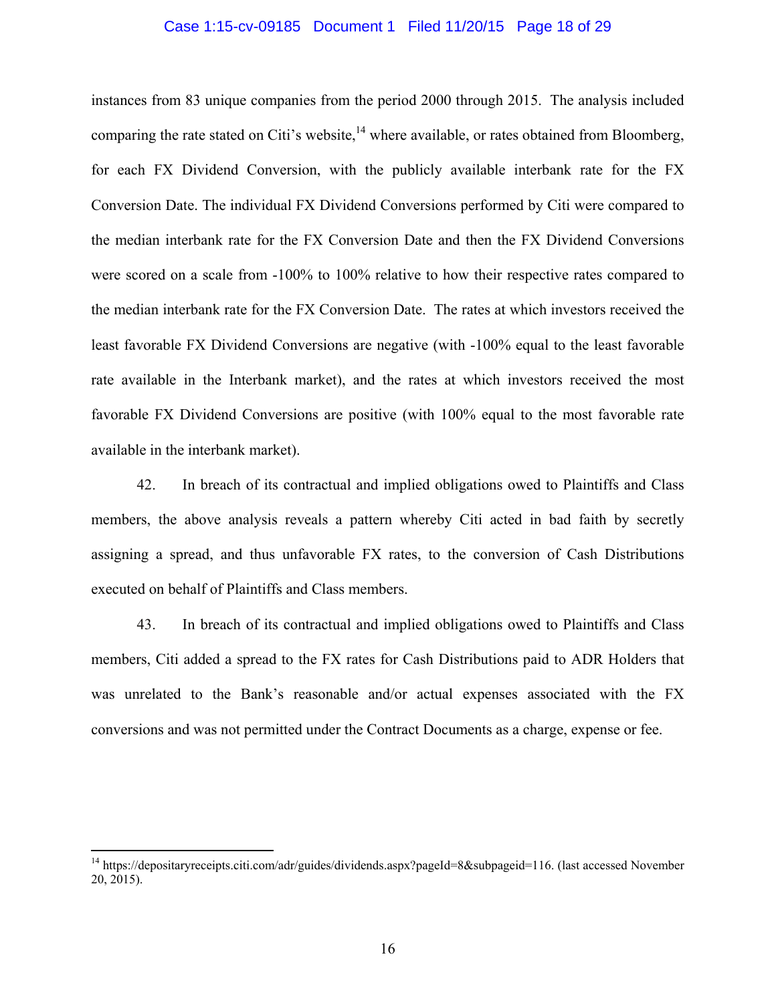#### Case 1:15-cv-09185 Document 1 Filed 11/20/15 Page 18 of 29

instances from 83 unique companies from the period 2000 through 2015. The analysis included comparing the rate stated on Citi's website, $^{14}$  where available, or rates obtained from Bloomberg, for each FX Dividend Conversion, with the publicly available interbank rate for the FX Conversion Date. The individual FX Dividend Conversions performed by Citi were compared to the median interbank rate for the FX Conversion Date and then the FX Dividend Conversions were scored on a scale from -100% to 100% relative to how their respective rates compared to the median interbank rate for the FX Conversion Date. The rates at which investors received the least favorable FX Dividend Conversions are negative (with -100% equal to the least favorable rate available in the Interbank market), and the rates at which investors received the most favorable FX Dividend Conversions are positive (with 100% equal to the most favorable rate available in the interbank market).

42. In breach of its contractual and implied obligations owed to Plaintiffs and Class members, the above analysis reveals a pattern whereby Citi acted in bad faith by secretly assigning a spread, and thus unfavorable FX rates, to the conversion of Cash Distributions executed on behalf of Plaintiffs and Class members.

43. In breach of its contractual and implied obligations owed to Plaintiffs and Class members, Citi added a spread to the FX rates for Cash Distributions paid to ADR Holders that was unrelated to the Bank's reasonable and/or actual expenses associated with the FX conversions and was not permitted under the Contract Documents as a charge, expense or fee.

<sup>&</sup>lt;sup>14</sup> https://depositaryreceipts.citi.com/adr/guides/dividends.aspx?pageId=8&subpageid=116. (last accessed November 20, 2015).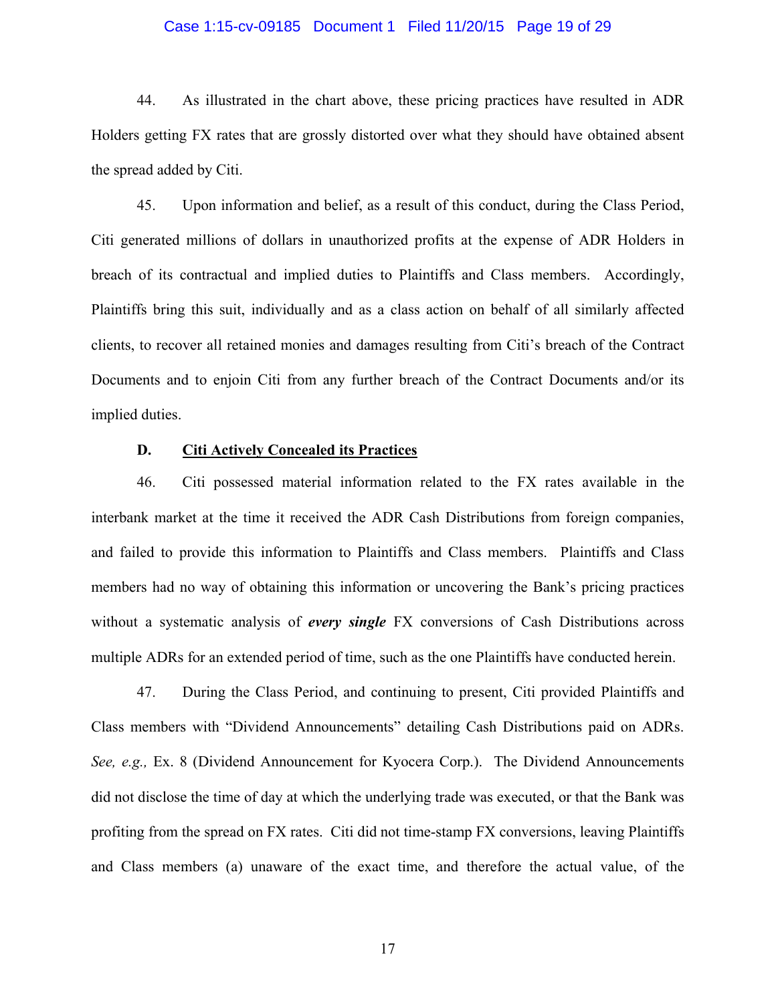#### Case 1:15-cv-09185 Document 1 Filed 11/20/15 Page 19 of 29

44. As illustrated in the chart above, these pricing practices have resulted in ADR Holders getting FX rates that are grossly distorted over what they should have obtained absent the spread added by Citi.

45. Upon information and belief, as a result of this conduct, during the Class Period, Citi generated millions of dollars in unauthorized profits at the expense of ADR Holders in breach of its contractual and implied duties to Plaintiffs and Class members. Accordingly, Plaintiffs bring this suit, individually and as a class action on behalf of all similarly affected clients, to recover all retained monies and damages resulting from Citi's breach of the Contract Documents and to enjoin Citi from any further breach of the Contract Documents and/or its implied duties.

## **D. Citi Actively Concealed its Practices**

46. Citi possessed material information related to the FX rates available in the interbank market at the time it received the ADR Cash Distributions from foreign companies, and failed to provide this information to Plaintiffs and Class members. Plaintiffs and Class members had no way of obtaining this information or uncovering the Bank's pricing practices without a systematic analysis of *every single* FX conversions of Cash Distributions across multiple ADRs for an extended period of time, such as the one Plaintiffs have conducted herein.

47. During the Class Period, and continuing to present, Citi provided Plaintiffs and Class members with "Dividend Announcements" detailing Cash Distributions paid on ADRs. *See, e.g.,* Ex. 8 (Dividend Announcement for Kyocera Corp.). The Dividend Announcements did not disclose the time of day at which the underlying trade was executed, or that the Bank was profiting from the spread on FX rates. Citi did not time-stamp FX conversions, leaving Plaintiffs and Class members (a) unaware of the exact time, and therefore the actual value, of the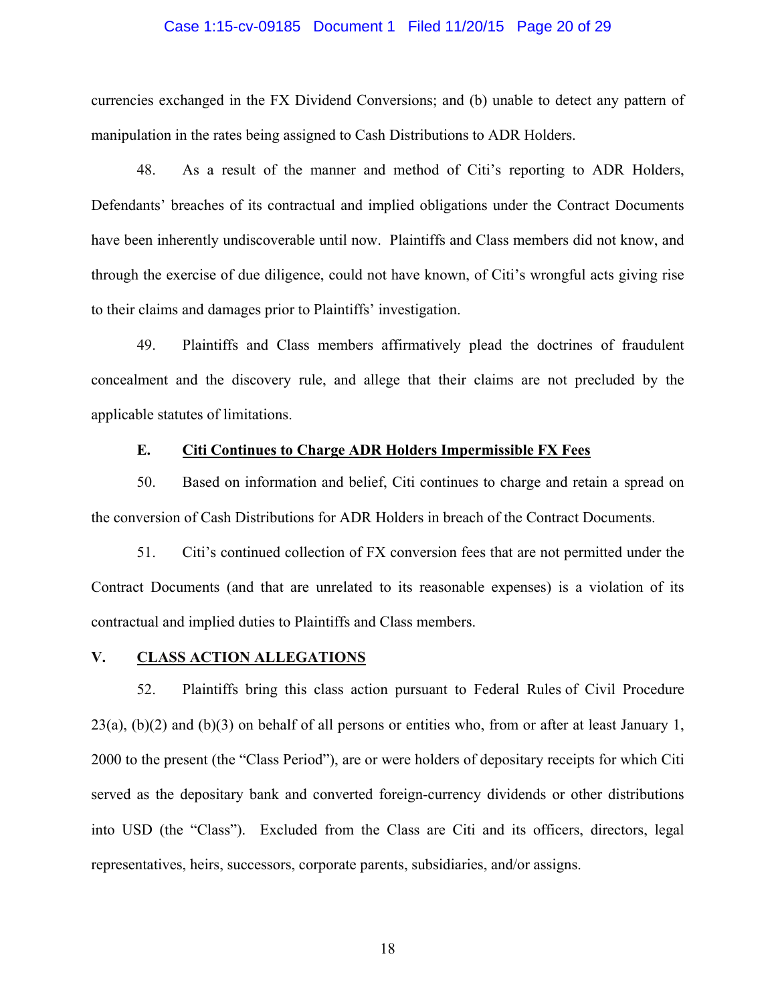#### Case 1:15-cv-09185 Document 1 Filed 11/20/15 Page 20 of 29

currencies exchanged in the FX Dividend Conversions; and (b) unable to detect any pattern of manipulation in the rates being assigned to Cash Distributions to ADR Holders.

48. As a result of the manner and method of Citi's reporting to ADR Holders, Defendants' breaches of its contractual and implied obligations under the Contract Documents have been inherently undiscoverable until now. Plaintiffs and Class members did not know, and through the exercise of due diligence, could not have known, of Citi's wrongful acts giving rise to their claims and damages prior to Plaintiffs' investigation.

49. Plaintiffs and Class members affirmatively plead the doctrines of fraudulent concealment and the discovery rule, and allege that their claims are not precluded by the applicable statutes of limitations.

## **E. Citi Continues to Charge ADR Holders Impermissible FX Fees**

50. Based on information and belief, Citi continues to charge and retain a spread on the conversion of Cash Distributions for ADR Holders in breach of the Contract Documents.

51. Citi's continued collection of FX conversion fees that are not permitted under the Contract Documents (and that are unrelated to its reasonable expenses) is a violation of its contractual and implied duties to Plaintiffs and Class members.

## **V. CLASS ACTION ALLEGATIONS**

52. Plaintiffs bring this class action pursuant to Federal Rules of Civil Procedure  $23(a)$ ,  $(b)(2)$  and  $(b)(3)$  on behalf of all persons or entities who, from or after at least January 1, 2000 to the present (the "Class Period"), are or were holders of depositary receipts for which Citi served as the depositary bank and converted foreign-currency dividends or other distributions into USD (the "Class"). Excluded from the Class are Citi and its officers, directors, legal representatives, heirs, successors, corporate parents, subsidiaries, and/or assigns.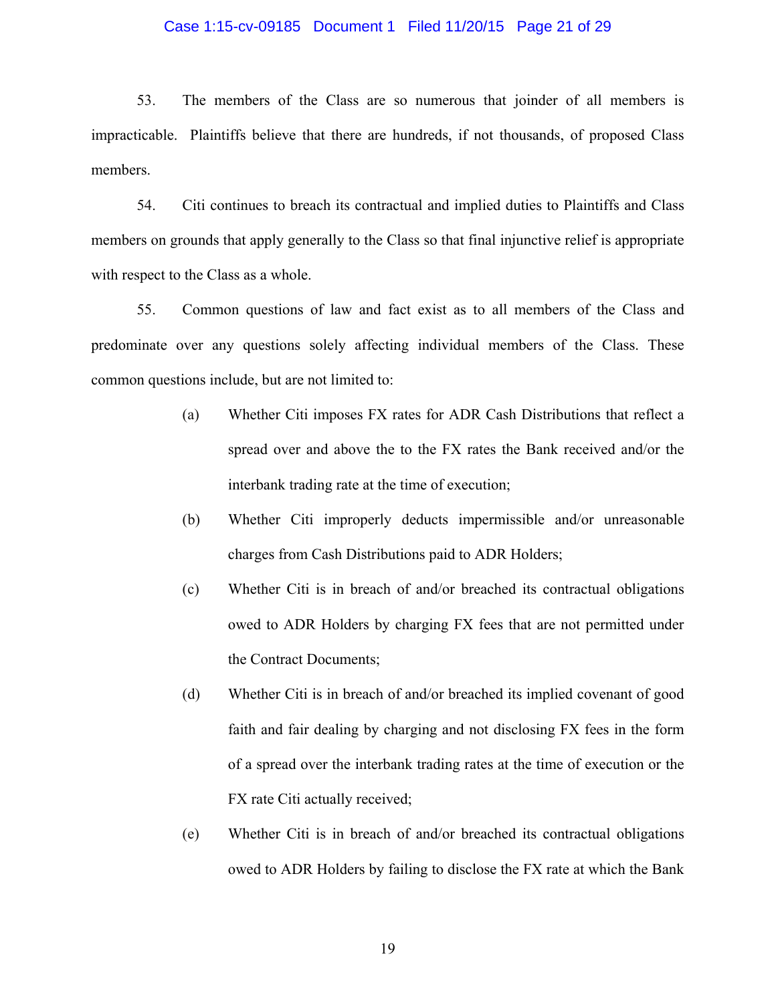#### Case 1:15-cv-09185 Document 1 Filed 11/20/15 Page 21 of 29

53. The members of the Class are so numerous that joinder of all members is impracticable. Plaintiffs believe that there are hundreds, if not thousands, of proposed Class members.

54. Citi continues to breach its contractual and implied duties to Plaintiffs and Class members on grounds that apply generally to the Class so that final injunctive relief is appropriate with respect to the Class as a whole.

55. Common questions of law and fact exist as to all members of the Class and predominate over any questions solely affecting individual members of the Class. These common questions include, but are not limited to:

- (a) Whether Citi imposes FX rates for ADR Cash Distributions that reflect a spread over and above the to the FX rates the Bank received and/or the interbank trading rate at the time of execution;
- (b) Whether Citi improperly deducts impermissible and/or unreasonable charges from Cash Distributions paid to ADR Holders;
- (c) Whether Citi is in breach of and/or breached its contractual obligations owed to ADR Holders by charging FX fees that are not permitted under the Contract Documents;
- (d) Whether Citi is in breach of and/or breached its implied covenant of good faith and fair dealing by charging and not disclosing FX fees in the form of a spread over the interbank trading rates at the time of execution or the FX rate Citi actually received;
- (e) Whether Citi is in breach of and/or breached its contractual obligations owed to ADR Holders by failing to disclose the FX rate at which the Bank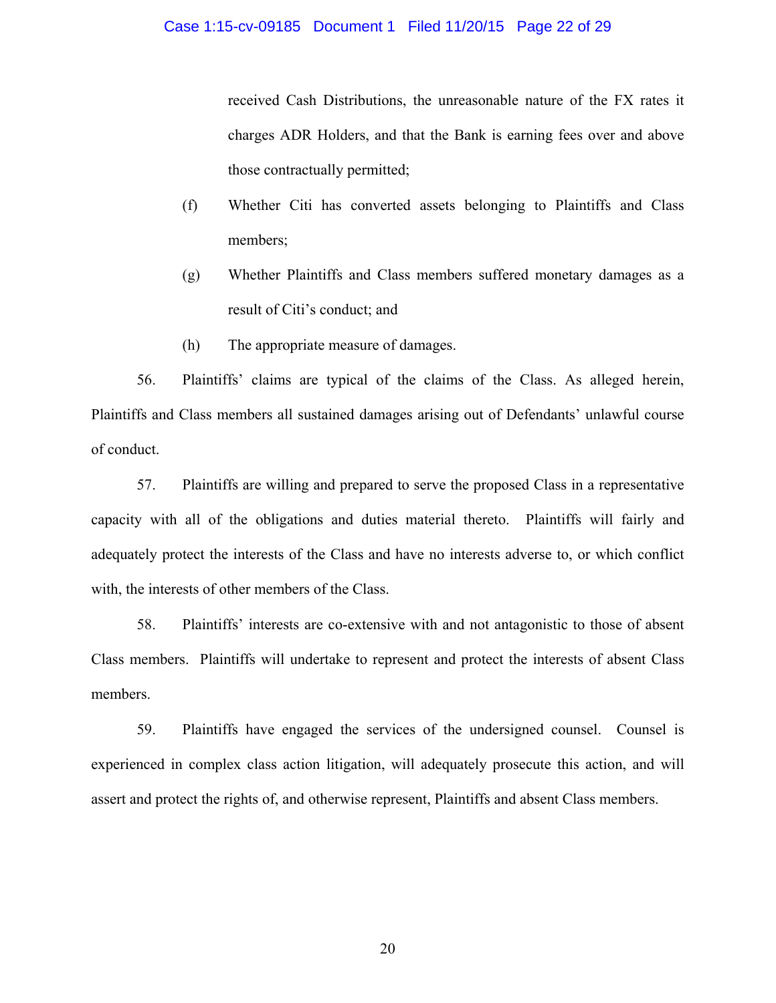received Cash Distributions, the unreasonable nature of the FX rates it charges ADR Holders, and that the Bank is earning fees over and above those contractually permitted;

- (f) Whether Citi has converted assets belonging to Plaintiffs and Class members;
- (g) Whether Plaintiffs and Class members suffered monetary damages as a result of Citi's conduct; and
- (h) The appropriate measure of damages.

56. Plaintiffs' claims are typical of the claims of the Class. As alleged herein, Plaintiffs and Class members all sustained damages arising out of Defendants' unlawful course of conduct.

57. Plaintiffs are willing and prepared to serve the proposed Class in a representative capacity with all of the obligations and duties material thereto. Plaintiffs will fairly and adequately protect the interests of the Class and have no interests adverse to, or which conflict with, the interests of other members of the Class.

58. Plaintiffs' interests are co-extensive with and not antagonistic to those of absent Class members. Plaintiffs will undertake to represent and protect the interests of absent Class members.

59. Plaintiffs have engaged the services of the undersigned counsel. Counsel is experienced in complex class action litigation, will adequately prosecute this action, and will assert and protect the rights of, and otherwise represent, Plaintiffs and absent Class members.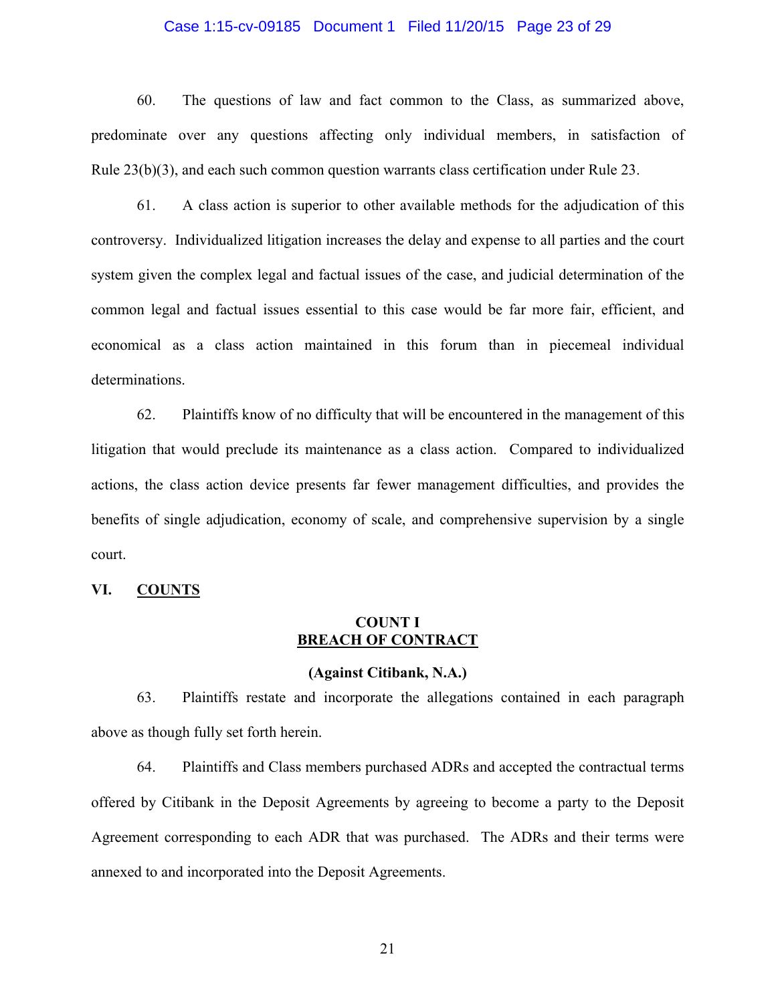#### Case 1:15-cv-09185 Document 1 Filed 11/20/15 Page 23 of 29

60. The questions of law and fact common to the Class, as summarized above, predominate over any questions affecting only individual members, in satisfaction of Rule 23(b)(3), and each such common question warrants class certification under Rule 23.

61. A class action is superior to other available methods for the adjudication of this controversy. Individualized litigation increases the delay and expense to all parties and the court system given the complex legal and factual issues of the case, and judicial determination of the common legal and factual issues essential to this case would be far more fair, efficient, and economical as a class action maintained in this forum than in piecemeal individual determinations.

62. Plaintiffs know of no difficulty that will be encountered in the management of this litigation that would preclude its maintenance as a class action. Compared to individualized actions, the class action device presents far fewer management difficulties, and provides the benefits of single adjudication, economy of scale, and comprehensive supervision by a single court.

#### **VI. COUNTS**

## **COUNT I BREACH OF CONTRACT**

### **(Against Citibank, N.A.)**

63. Plaintiffs restate and incorporate the allegations contained in each paragraph above as though fully set forth herein.

64. Plaintiffs and Class members purchased ADRs and accepted the contractual terms offered by Citibank in the Deposit Agreements by agreeing to become a party to the Deposit Agreement corresponding to each ADR that was purchased. The ADRs and their terms were annexed to and incorporated into the Deposit Agreements.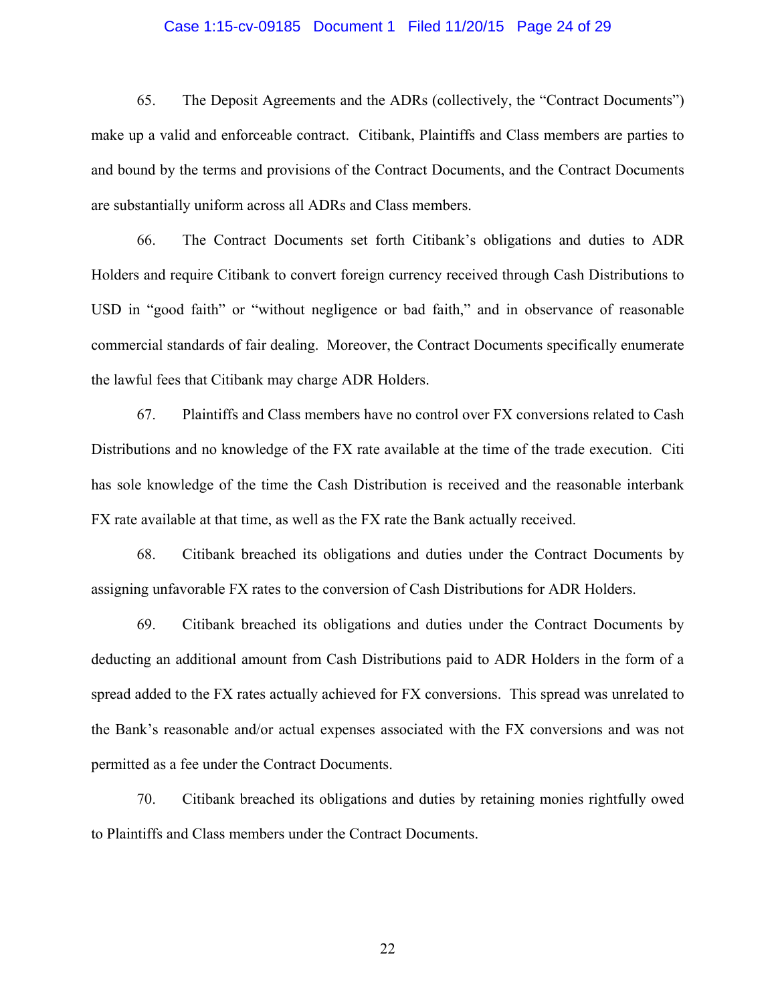#### Case 1:15-cv-09185 Document 1 Filed 11/20/15 Page 24 of 29

65. The Deposit Agreements and the ADRs (collectively, the "Contract Documents") make up a valid and enforceable contract. Citibank, Plaintiffs and Class members are parties to and bound by the terms and provisions of the Contract Documents, and the Contract Documents are substantially uniform across all ADRs and Class members.

66. The Contract Documents set forth Citibank's obligations and duties to ADR Holders and require Citibank to convert foreign currency received through Cash Distributions to USD in "good faith" or "without negligence or bad faith," and in observance of reasonable commercial standards of fair dealing. Moreover, the Contract Documents specifically enumerate the lawful fees that Citibank may charge ADR Holders.

67. Plaintiffs and Class members have no control over FX conversions related to Cash Distributions and no knowledge of the FX rate available at the time of the trade execution. Citi has sole knowledge of the time the Cash Distribution is received and the reasonable interbank FX rate available at that time, as well as the FX rate the Bank actually received.

68. Citibank breached its obligations and duties under the Contract Documents by assigning unfavorable FX rates to the conversion of Cash Distributions for ADR Holders.

69. Citibank breached its obligations and duties under the Contract Documents by deducting an additional amount from Cash Distributions paid to ADR Holders in the form of a spread added to the FX rates actually achieved for FX conversions. This spread was unrelated to the Bank's reasonable and/or actual expenses associated with the FX conversions and was not permitted as a fee under the Contract Documents.

70. Citibank breached its obligations and duties by retaining monies rightfully owed to Plaintiffs and Class members under the Contract Documents.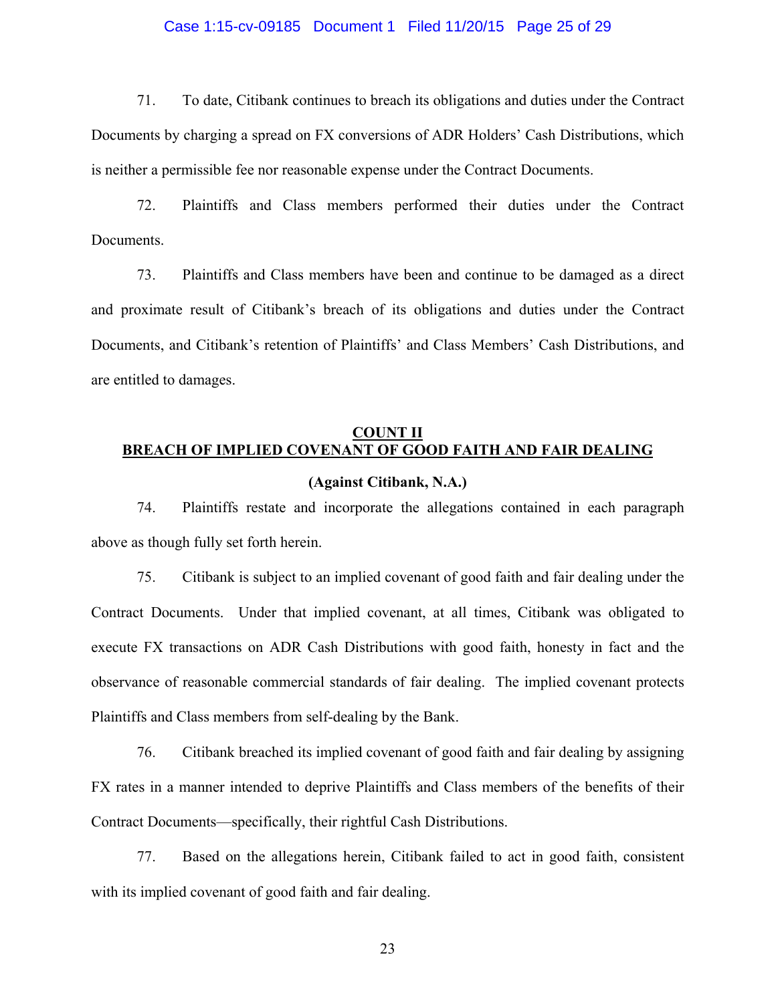#### Case 1:15-cv-09185 Document 1 Filed 11/20/15 Page 25 of 29

71. To date, Citibank continues to breach its obligations and duties under the Contract Documents by charging a spread on FX conversions of ADR Holders' Cash Distributions, which is neither a permissible fee nor reasonable expense under the Contract Documents.

72. Plaintiffs and Class members performed their duties under the Contract Documents.

73. Plaintiffs and Class members have been and continue to be damaged as a direct and proximate result of Citibank's breach of its obligations and duties under the Contract Documents, and Citibank's retention of Plaintiffs' and Class Members' Cash Distributions, and are entitled to damages.

## **COUNT II BREACH OF IMPLIED COVENANT OF GOOD FAITH AND FAIR DEALING**

### **(Against Citibank, N.A.)**

74. Plaintiffs restate and incorporate the allegations contained in each paragraph above as though fully set forth herein.

75. Citibank is subject to an implied covenant of good faith and fair dealing under the Contract Documents. Under that implied covenant, at all times, Citibank was obligated to execute FX transactions on ADR Cash Distributions with good faith, honesty in fact and the observance of reasonable commercial standards of fair dealing. The implied covenant protects Plaintiffs and Class members from self-dealing by the Bank.

76. Citibank breached its implied covenant of good faith and fair dealing by assigning FX rates in a manner intended to deprive Plaintiffs and Class members of the benefits of their Contract Documents—specifically, their rightful Cash Distributions.

77. Based on the allegations herein, Citibank failed to act in good faith, consistent with its implied covenant of good faith and fair dealing.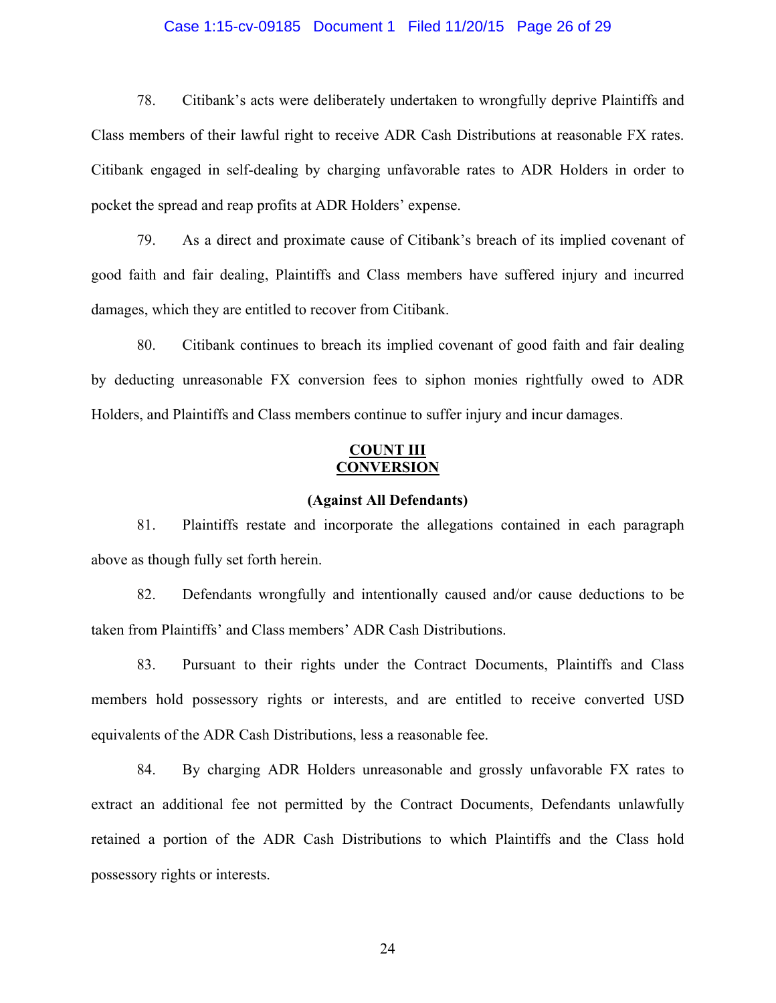#### Case 1:15-cv-09185 Document 1 Filed 11/20/15 Page 26 of 29

78. Citibank's acts were deliberately undertaken to wrongfully deprive Plaintiffs and Class members of their lawful right to receive ADR Cash Distributions at reasonable FX rates. Citibank engaged in self-dealing by charging unfavorable rates to ADR Holders in order to pocket the spread and reap profits at ADR Holders' expense.

79. As a direct and proximate cause of Citibank's breach of its implied covenant of good faith and fair dealing, Plaintiffs and Class members have suffered injury and incurred damages, which they are entitled to recover from Citibank.

80. Citibank continues to breach its implied covenant of good faith and fair dealing by deducting unreasonable FX conversion fees to siphon monies rightfully owed to ADR Holders, and Plaintiffs and Class members continue to suffer injury and incur damages.

## **COUNT III CONVERSION**

#### **(Against All Defendants)**

81. Plaintiffs restate and incorporate the allegations contained in each paragraph above as though fully set forth herein.

82. Defendants wrongfully and intentionally caused and/or cause deductions to be taken from Plaintiffs' and Class members' ADR Cash Distributions.

83. Pursuant to their rights under the Contract Documents, Plaintiffs and Class members hold possessory rights or interests, and are entitled to receive converted USD equivalents of the ADR Cash Distributions, less a reasonable fee.

84. By charging ADR Holders unreasonable and grossly unfavorable FX rates to extract an additional fee not permitted by the Contract Documents, Defendants unlawfully retained a portion of the ADR Cash Distributions to which Plaintiffs and the Class hold possessory rights or interests.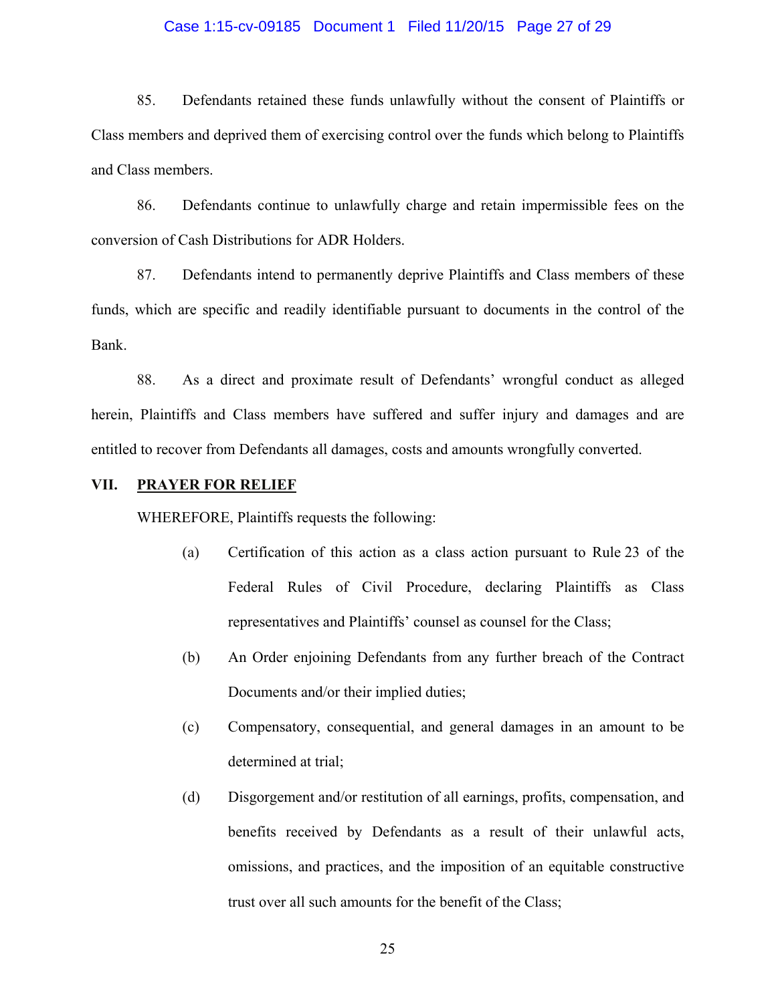#### Case 1:15-cv-09185 Document 1 Filed 11/20/15 Page 27 of 29

85. Defendants retained these funds unlawfully without the consent of Plaintiffs or Class members and deprived them of exercising control over the funds which belong to Plaintiffs and Class members.

86. Defendants continue to unlawfully charge and retain impermissible fees on the conversion of Cash Distributions for ADR Holders.

87. Defendants intend to permanently deprive Plaintiffs and Class members of these funds, which are specific and readily identifiable pursuant to documents in the control of the Bank.

88. As a direct and proximate result of Defendants' wrongful conduct as alleged herein, Plaintiffs and Class members have suffered and suffer injury and damages and are entitled to recover from Defendants all damages, costs and amounts wrongfully converted.

### **VII. PRAYER FOR RELIEF**

WHEREFORE, Plaintiffs requests the following:

- (a) Certification of this action as a class action pursuant to Rule 23 of the Federal Rules of Civil Procedure, declaring Plaintiffs as Class representatives and Plaintiffs' counsel as counsel for the Class;
- (b) An Order enjoining Defendants from any further breach of the Contract Documents and/or their implied duties;
- (c) Compensatory, consequential, and general damages in an amount to be determined at trial;
- (d) Disgorgement and/or restitution of all earnings, profits, compensation, and benefits received by Defendants as a result of their unlawful acts, omissions, and practices, and the imposition of an equitable constructive trust over all such amounts for the benefit of the Class;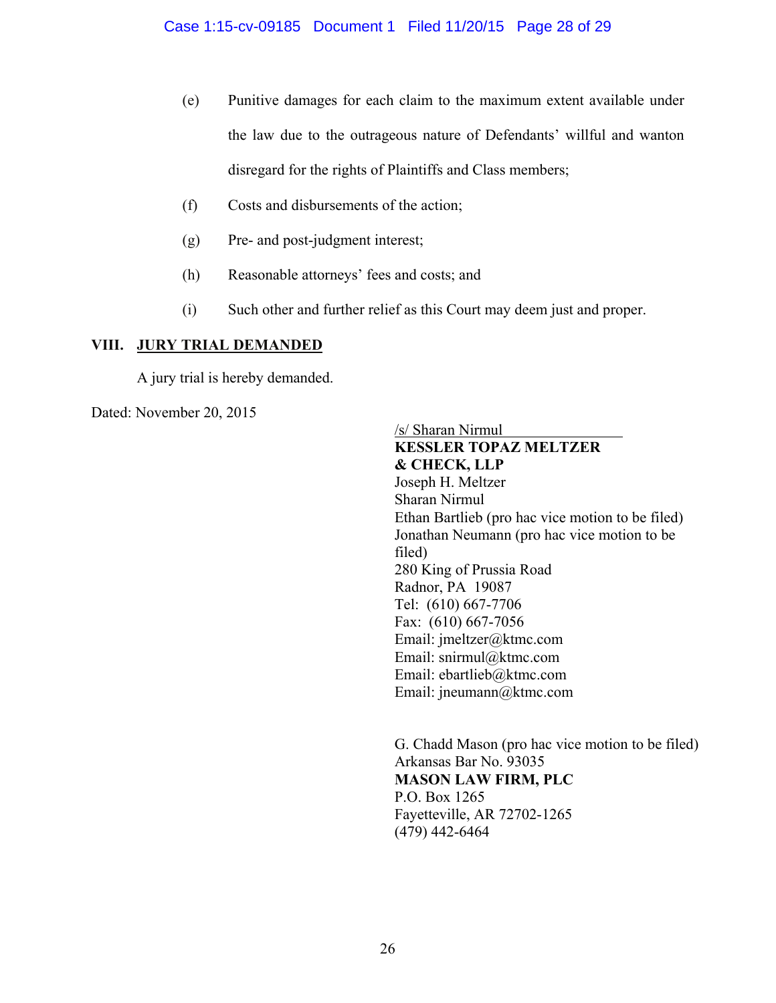- (e) Punitive damages for each claim to the maximum extent available under the law due to the outrageous nature of Defendants' willful and wanton disregard for the rights of Plaintiffs and Class members;
- (f) Costs and disbursements of the action;
- (g) Pre- and post-judgment interest;
- (h) Reasonable attorneys' fees and costs; and
- (i) Such other and further relief as this Court may deem just and proper.

## **VIII. JURY TRIAL DEMANDED**

A jury trial is hereby demanded.

Dated: November 20, 2015

/s/ Sharan Nirmul **KESSLER TOPAZ MELTZER & CHECK, LLP**  Joseph H. Meltzer Sharan Nirmul Ethan Bartlieb (pro hac vice motion to be filed) Jonathan Neumann (pro hac vice motion to be filed) 280 King of Prussia Road Radnor, PA 19087 Tel: (610) 667-7706 Fax: (610) 667-7056 Email: jmeltzer@ktmc.com Email: snirmul@ktmc.com Email: ebartlieb@ktmc.com Email: jneumann@ktmc.com

 G. Chadd Mason (pro hac vice motion to be filed) Arkansas Bar No. 93035 **MASON LAW FIRM, PLC** P.O. Box 1265 Fayetteville, AR 72702-1265 (479) 442-6464